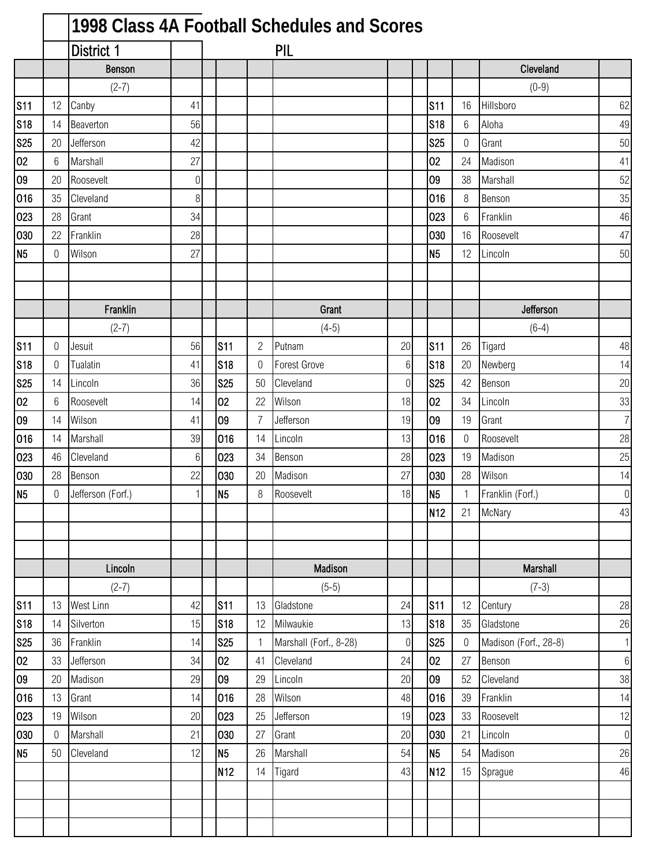|                |             |                   |                |                 |                | 1998 Class 4A Football Schedules and Scores |                |                 |                |                       |                  |
|----------------|-------------|-------------------|----------------|-----------------|----------------|---------------------------------------------|----------------|-----------------|----------------|-----------------------|------------------|
|                |             | District 1        |                |                 |                | <b>PIL</b>                                  |                |                 |                |                       |                  |
|                |             | <b>Benson</b>     |                |                 |                |                                             |                |                 |                | Cleveland             |                  |
|                |             | $(2-7)$           |                |                 |                |                                             |                |                 |                | $(0-9)$               |                  |
| <b>S11</b>     | 12          | Canby             | 41             |                 |                |                                             |                | <b>S11</b>      | 16             | Hillsboro             | 62               |
| <b>S18</b>     | 14          | Beaverton         | 56             |                 |                |                                             |                | <b>S18</b>      | 6              | Aloha                 | 49               |
| <b>S25</b>     | 20          | Jefferson         | 42             |                 |                |                                             |                | <b>S25</b>      | $\overline{0}$ | Grant                 | 50               |
| 02             | 6           | Marshall          | 27             |                 |                |                                             |                | 02              | 24             | Madison               | 41               |
| 09             | 20          | Roosevelt         | $\overline{0}$ |                 |                |                                             |                | 09              | 38             | Marshall              | 52               |
| 016            | 35          | Cleveland         | 8 <sup>1</sup> |                 |                |                                             |                | 016             | 8              | Benson                | 35               |
| 023            | 28          | Grant             | 34             |                 |                |                                             |                | 023             | 6              | Franklin              | 46               |
| 030            | 22          | Franklin          | 28             |                 |                |                                             |                | 030             | 16             | Roosevelt             | 47               |
| N <sub>5</sub> | 0           | Wilson            | 27             |                 |                |                                             |                | N5              | 12             | Lincoln               | 50               |
|                |             |                   |                |                 |                |                                             |                |                 |                |                       |                  |
|                |             |                   |                |                 |                |                                             |                |                 |                |                       |                  |
|                |             | Franklin          |                |                 |                | Grant                                       |                |                 |                | Jefferson             |                  |
|                |             | $(2-7)$           |                |                 |                | $(4-5)$                                     |                |                 |                | $(6-4)$               |                  |
| <b>S11</b>     | 0           | Jesuit            | 56             | <b>S11</b>      | $\overline{2}$ | Putnam                                      | 20             | <b>S11</b>      | 26             | Tigard                | 48               |
| <b>S18</b>     | 0           | Tualatin          | 41             | <b>S18</b>      | 0              | <b>Forest Grove</b>                         | 6              | <b>S18</b>      | 20             | Newberg               | 14               |
| <b>S25</b>     | 14          | Lincoln           | 36             | <b>S25</b>      | 50             | Cleveland                                   | $\theta$       | <b>S25</b>      | 42             | Benson                | 20               |
| 02             | 6           | Roosevelt         | 14             | 02              | 22             | Wilson                                      | 18             | 02              | 34             | Lincoln               | 33               |
| 09             | 14          | Wilson            | 41             | 09              | 7              | Jefferson                                   | 19             | 09              | 19             | Grant                 | $\overline{7}$   |
| 016            | 14          | Marshall          | 39             | 016             | 14             | Lincoln                                     | 13             | 016             | $\overline{0}$ | Roosevelt             | 28               |
| 023            | 46          | Cleveland         | $6 \mid$       | 023             | 34             | Benson                                      | 28             | 023             | 19             | Madison               | 25               |
| 030            | 28          | Benson            | 22             | 030             | 20             | Madison                                     | 27             | 030             | 28             | Wilson                | 14               |
| N <sub>5</sub> | 0           | Jefferson (Forf.) |                | N <sub>5</sub>  | 8              | Roosevelt                                   | 18             | N <sub>5</sub>  | $\mathbf{1}$   | Franklin (Forf.)      | $\overline{0}$   |
|                |             |                   |                |                 |                |                                             |                | N <sub>12</sub> | 21             | McNary                | 43               |
|                |             |                   |                |                 |                |                                             |                |                 |                |                       |                  |
|                |             |                   |                |                 |                |                                             |                |                 |                |                       |                  |
|                |             | Lincoln           |                |                 |                | Madison                                     |                |                 |                | Marshall              |                  |
|                |             | $(2-7)$           |                |                 |                | $(5-5)$                                     |                |                 |                | $(7-3)$               |                  |
| <b>S11</b>     | 13          | West Linn         | 42             | S <sub>11</sub> | 13             | Gladstone                                   | 24             | <b>S11</b>      | 12             | Century               | 28               |
| <b>S18</b>     | 14          | Silverton         | 15             | <b>S18</b>      | 12             | Milwaukie                                   | 13             | <b>S18</b>      | 35             | Gladstone             | 26               |
| <b>S25</b>     | 36          | Franklin          | 14             | <b>S25</b>      | 1              | Marshall (Forf., 8-28)                      | $\overline{0}$ | <b>S25</b>      | $\mathbf 0$    | Madison (Forf., 28-8) | $\mathbf{1}$     |
| 02             | 33          | Jefferson         | 34             | 02              | 41             | Cleveland                                   | 24             | 02              | 27             | Benson                | $6\,$            |
| 09             | 20          | Madison           | 29             | 09              | 29             | Lincoln                                     | 20             | 09              | 52             | Cleveland             | 38               |
| 016            | 13          | Grant             | 14             | 016             | 28             | Wilson                                      | 48             | 016             | 39             | Franklin              | 14               |
| 023            | 19          | Wilson            | 20             | 023             | 25             | Jefferson                                   | 19             | 023             | 33             | Roosevelt             | 12               |
| 030            | $\mathbf 0$ | Marshall          | 21             | 030             | 27             | Grant                                       | 20             | 030             | 21             | Lincoln               | $\boldsymbol{0}$ |
| N <sub>5</sub> | 50          | Cleveland         | 12             | N <sub>5</sub>  | 26             | Marshall                                    | 54             | N5              | 54             | Madison               | 26               |
|                |             |                   |                | N <sub>12</sub> | 14             | Tigard                                      | 43             | N <sub>12</sub> | 15             | Sprague               | 46               |
|                |             |                   |                |                 |                |                                             |                |                 |                |                       |                  |
|                |             |                   |                |                 |                |                                             |                |                 |                |                       |                  |
|                |             |                   |                |                 |                |                                             |                |                 |                |                       |                  |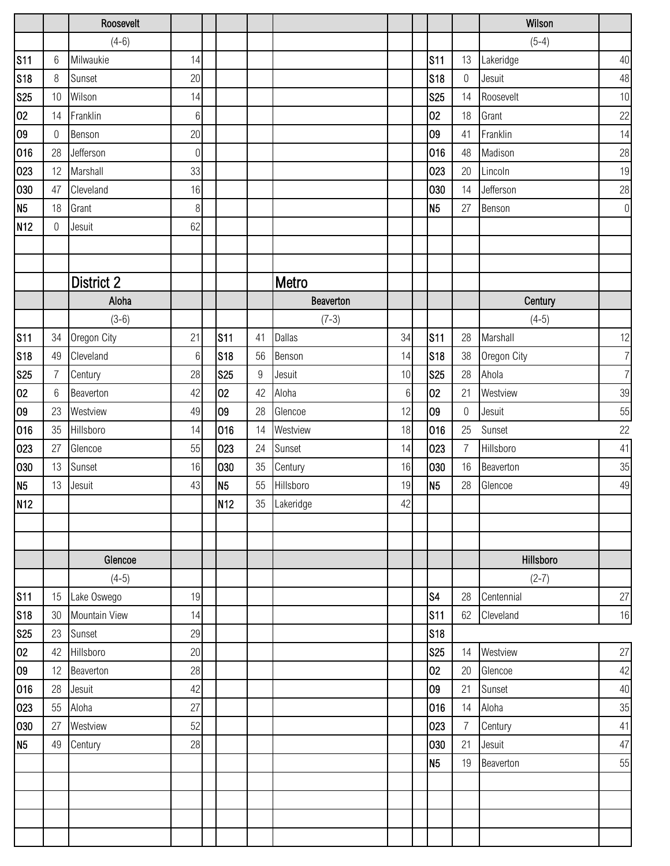|                 |             | Roosevelt         |                  |                 |    |               |                |                 |                  | Wilson      |                  |
|-----------------|-------------|-------------------|------------------|-----------------|----|---------------|----------------|-----------------|------------------|-------------|------------------|
|                 |             | $(4-6)$           |                  |                 |    |               |                |                 |                  | $(5-4)$     |                  |
| <b>S11</b>      | 6           | Milwaukie         | 14               |                 |    |               |                | S <sub>11</sub> | 13               | Lakeridge   | 40               |
| <b>S18</b>      | 8           | Sunset            | 20               |                 |    |               |                | S <sub>18</sub> | $\mathbf 0$      | Jesuit      | 48               |
| <b>S25</b>      | 10          | Wilson            | 14               |                 |    |               |                | <b>S25</b>      | 14               | Roosevelt   | 10               |
| 02              | 14          | Franklin          | $6\,$            |                 |    |               |                | 02              | 18               | Grant       | 22               |
| 09              | $\mathbf 0$ | Benson            | 20               |                 |    |               |                | 09              | 41               | Franklin    | 14               |
| 016             | 28          | Jefferson         | $\boldsymbol{0}$ |                 |    |               |                | 016             | 48               | Madison     | 28               |
| 023             | 12          | Marshall          | 33               |                 |    |               |                | 023             | 20               | Lincoln     | 19               |
| 030             | 47          | Cleveland         | 16               |                 |    |               |                | 030             | 14               | Jefferson   | 28               |
| N <sub>5</sub>  | 18          | Grant             | $\,8\,$          |                 |    |               |                | N <sub>5</sub>  | 27               | Benson      | $\boldsymbol{0}$ |
| N <sub>12</sub> | $\mathbf 0$ | Jesuit            | 62               |                 |    |               |                |                 |                  |             |                  |
|                 |             |                   |                  |                 |    |               |                |                 |                  |             |                  |
|                 |             |                   |                  |                 |    |               |                |                 |                  |             |                  |
|                 |             | <b>District 2</b> |                  |                 |    | Metro         |                |                 |                  |             |                  |
|                 |             | Aloha             |                  |                 |    | Beaverton     |                |                 |                  | Century     |                  |
|                 |             | $(3-6)$           |                  |                 |    | $(7-3)$       |                |                 |                  | $(4-5)$     |                  |
| <b>S11</b>      | 34          | Oregon City       | 21               | <b>S11</b>      | 41 | <b>Dallas</b> | 34             | S <sub>11</sub> | 28               | Marshall    | 12               |
| <b>S18</b>      | 49          | Cleveland         | $6\,$            | <b>S18</b>      | 56 | Benson        | 14             | <b>S18</b>      | 38               | Oregon City | $\overline{7}$   |
| <b>S25</b>      | 7           | Century           | 28               | <b>S25</b>      | 9  | Jesuit        | 10             | <b>S25</b>      | 28               | Ahola       | $\overline{7}$   |
| 02              | 6           | Beaverton         | 42               | 02              | 42 | Aloha         | $6\phantom{.}$ | 02              | 21               | Westview    | 39               |
| 09              | 23          | Westview          | 49               | 09              | 28 | Glencoe       | 12             | 09              | $\boldsymbol{0}$ | Jesuit      | 55               |
| 016             | 35          | Hillsboro         | 14               | 016             | 14 | Westview      | 18             | 016             | 25               | Sunset      | 22               |
| 023             | 27          | Glencoe           | 55               | 023             | 24 | Sunset        | 14             | 023             | $\overline{7}$   | Hillsboro   | 41               |
| 030             | 13          | Sunset            | 16               | 030             | 35 | Century       | 16             | 030             | 16               | Beaverton   | 35               |
| N <sub>5</sub>  | 13          | Jesuit            | 43               | N <sub>5</sub>  | 55 | Hillsboro     | 19             | N <sub>5</sub>  | 28               | Glencoe     | 49               |
| N <sub>12</sub> |             |                   |                  | N <sub>12</sub> | 35 | Lakeridge     | 42             |                 |                  |             |                  |
|                 |             |                   |                  |                 |    |               |                |                 |                  |             |                  |
|                 |             |                   |                  |                 |    |               |                |                 |                  |             |                  |
|                 |             | Glencoe           |                  |                 |    |               |                |                 |                  | Hillsboro   |                  |
|                 |             | $(4-5)$           |                  |                 |    |               |                |                 |                  | $(2-7)$     |                  |
| <b>S11</b>      | 15          | Lake Oswego       | 19               |                 |    |               |                | S <sub>4</sub>  | 28               | Centennial  | 27               |
| <b>S18</b>      | 30          | Mountain View     | 14               |                 |    |               |                | <b>S11</b>      | 62               | Cleveland   | 16               |
| <b>S25</b>      | 23          | Sunset            | 29               |                 |    |               |                | <b>S18</b>      |                  |             |                  |
| 02              | 42          | Hillsboro         | 20               |                 |    |               |                | <b>S25</b>      | 14               | Westview    | 27               |
| 09              | 12          | Beaverton         | 28               |                 |    |               |                | 02              | 20               | Glencoe     | 42               |
| 016             | 28          | Jesuit            | 42               |                 |    |               |                | 09              | 21               | Sunset      | 40               |
| 023             | 55          | Aloha             | 27               |                 |    |               |                | 016             | 14               | Aloha       | 35               |
| 030             | 27          | Westview          | 52               |                 |    |               |                | 023             | $\overline{7}$   | Century     | 41               |
| N <sub>5</sub>  | 49          | Century           | 28               |                 |    |               |                | 030             | 21               | Jesuit      | 47               |
|                 |             |                   |                  |                 |    |               |                | N <sub>5</sub>  | 19               | Beaverton   | 55               |
|                 |             |                   |                  |                 |    |               |                |                 |                  |             |                  |
|                 |             |                   |                  |                 |    |               |                |                 |                  |             |                  |
|                 |             |                   |                  |                 |    |               |                |                 |                  |             |                  |
|                 |             |                   |                  |                 |    |               |                |                 |                  |             |                  |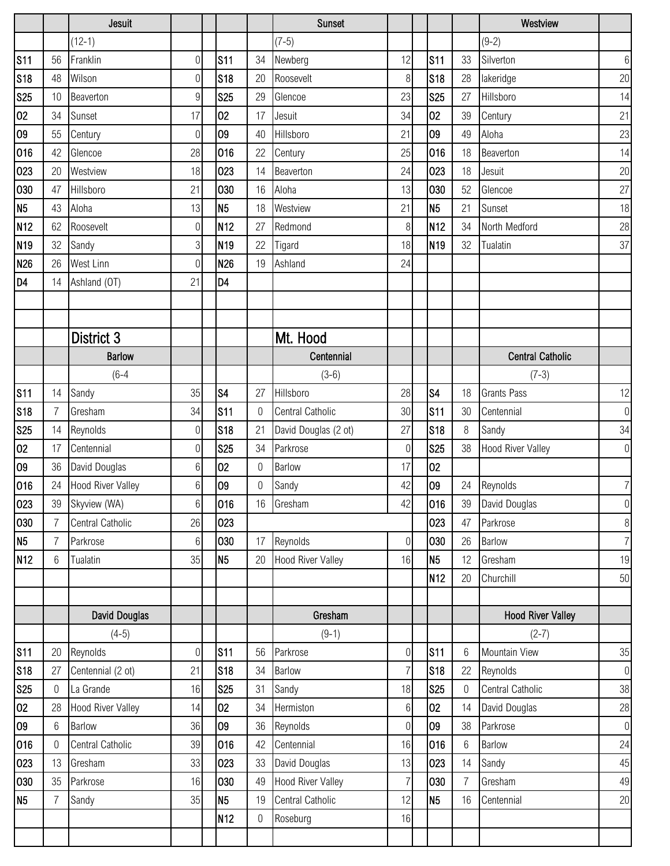|                 |                | Jesuit            |                |                 |          | <b>Sunset</b>            |                  |                 |                | Westview                 |                  |
|-----------------|----------------|-------------------|----------------|-----------------|----------|--------------------------|------------------|-----------------|----------------|--------------------------|------------------|
|                 |                | $(12-1)$          |                |                 |          | $(7-5)$                  |                  |                 |                | $(9-2)$                  |                  |
| <b>S11</b>      | 56             | Franklin          | $\overline{0}$ | <b>S11</b>      | 34       | Newberg                  | 12               | <b>S11</b>      | 33             | Silverton                | 6                |
| <b>S18</b>      | 48             | Wilson            | $\overline{0}$ | <b>S18</b>      | 20       | Roosevelt                | 8                | S18             | 28             | lakeridge                | 20               |
| <b>S25</b>      | 10             | Beaverton         | $\overline{9}$ | <b>S25</b>      | 29       | Glencoe                  | 23               | <b>S25</b>      | 27             | Hillsboro                | 14               |
| 02              | 34             | Sunset            | 17             | 02              | 17       | Jesuit                   | 34               | 02              | 39             | Century                  | 21               |
| 09              | 55             | Century           | $\overline{0}$ | 09              | 40       | Hillsboro                | 21               | 09              | 49             | Aloha                    | 23               |
| 016             | 42             | Glencoe           | 28             | 016             | 22       | Century                  | 25               | 016             | 18             | Beaverton                | 14               |
| 023             | 20             | Westview          | 18             | 023             | 14       | Beaverton                | 24               | 023             | 18             | Jesuit                   | 20               |
| 030             | 47             | Hillsboro         | 21             | 030             | 16       | Aloha                    | 13               | 030             | 52             | Glencoe                  | 27               |
| N <sub>5</sub>  | 43             | Aloha             | 13             | N <sub>5</sub>  | 18       | Westview                 | 21               | N <sub>5</sub>  | 21             | Sunset                   | 18               |
| N <sub>12</sub> | 62             | Roosevelt         | $\overline{0}$ | N <sub>12</sub> | 27       | Redmond                  | 8                | N <sub>12</sub> | 34             | North Medford            | 28               |
| N <sub>19</sub> | 32             | Sandy             | $\mathbf{3}$   | N <sub>19</sub> | 22       | Tigard                   | 18               | N <sub>19</sub> | 32             | Tualatin                 | 37               |
| N <sub>26</sub> | 26             | West Linn         | $\overline{0}$ | N <sub>26</sub> | 19       | Ashland                  | 24               |                 |                |                          |                  |
| D <sub>4</sub>  | 14             | Ashland (OT)      | 21             | D <sub>4</sub>  |          |                          |                  |                 |                |                          |                  |
|                 |                |                   |                |                 |          |                          |                  |                 |                |                          |                  |
|                 |                |                   |                |                 |          |                          |                  |                 |                |                          |                  |
|                 |                | District 3        |                |                 |          | Mt. Hood                 |                  |                 |                |                          |                  |
|                 |                | <b>Barlow</b>     |                |                 |          | Centennial               |                  |                 |                | <b>Central Catholic</b>  |                  |
|                 |                | $(6-4)$           |                |                 |          | $(3-6)$                  |                  |                 |                | $(7-3)$                  |                  |
| <b>S11</b>      | 14             | Sandy             | 35             | S <sub>4</sub>  | 27       | Hillsboro                | 28               | S <sub>4</sub>  | 18             | <b>Grants Pass</b>       | 12               |
| <b>S18</b>      | $\overline{7}$ | Gresham           | 34             | <b>S11</b>      | $\theta$ | Central Catholic         | 30               | <b>S11</b>      | 30             | Centennial               | $\boldsymbol{0}$ |
| <b>S25</b>      | 14             | Reynolds          | $\overline{0}$ | <b>S18</b>      | 21       | David Douglas (2 ot)     | 27               | <b>S18</b>      | 8              | Sandy                    | 34               |
| 02              | 17             | Centennial        | $\overline{0}$ | <b>S25</b>      | 34       | Parkrose                 | $\mathbf 0$      | <b>S25</b>      | 38             | <b>Hood River Valley</b> | 0                |
| 09              | 36             | David Douglas     | $6\phantom{1}$ | 02              | $\Omega$ | Barlow                   | 17               | 02              |                |                          |                  |
| 016             | 24             | Hood River Valley | $6\,$          | 09              | $\Omega$ | Sandy                    | 42               | 09              | 24             | Reynolds                 | $\overline{7}$   |
| 023             | 39             | Skyview (WA)      | $6 \mid$       | 016             | $16 \,$  | Gresham                  | 42               | 016             |                | 39 David Douglas         | $\boldsymbol{0}$ |
| 030             | $\overline{7}$ | Central Catholic  | 26             | 023             |          |                          |                  | 023             | 47             | Parkrose                 | $\, 8$           |
| N <sub>5</sub>  | 7              | Parkrose          | $6 \,$         | 030             | 17       | Reynolds                 | $\mathbf 0$      | 030             | 26             | Barlow                   | $\overline{7}$   |
| N <sub>12</sub> | 6              | Tualatin          | 35             | N <sub>5</sub>  | 20       | <b>Hood River Valley</b> | 16               | N <sub>5</sub>  | 12             | Gresham                  | 19               |
|                 |                |                   |                |                 |          |                          |                  | N <sub>12</sub> | 20             | Churchill                | 50               |
|                 |                |                   |                |                 |          |                          |                  |                 |                |                          |                  |
|                 |                | David Douglas     |                |                 |          | Gresham                  |                  |                 |                | <b>Hood River Valley</b> |                  |
|                 |                | $(4-5)$           |                |                 |          | $(9-1)$                  |                  |                 |                | $(2-7)$                  |                  |
| <b>S11</b>      | 20             | Reynolds          | $\overline{0}$ | <b>S11</b>      | 56       | Parkrose                 | $\boldsymbol{0}$ | S <sub>11</sub> | 6              | Mountain View            | $35\,$           |
| <b>S18</b>      | 27             | Centennial (2 ot) | 21             | <b>S18</b>      | 34       | Barlow                   | $\overline{7}$   | S18             | 22             | Reynolds                 | $\boldsymbol{0}$ |
| <b>S25</b>      | $\mathbf 0$    | La Grande         | 16             | <b>S25</b>      | 31       | Sandy                    | 18               | <b>S25</b>      | $\mathbf 0$    | Central Catholic         | 38               |
| 02              | 28             | Hood River Valley | 14             | 02              | 34       | Hermiston                | $6\,$            | 02              | 14             | David Douglas            | 28               |
| 09              | 6              | Barlow            | 36             | 09              | 36       | Reynolds                 | 0                | 09              | 38             | Parkrose                 | $\boldsymbol{0}$ |
| 016             | 0              | Central Catholic  | 39             | 016             | 42       | Centennial               | 16               | 016             | $6\,$          | Barlow                   | 24               |
| 023             | 13             | Gresham           | 33             | 023             | 33       | David Douglas            | 13               | 023             | 14             | Sandy                    | 45               |
| 030             | 35             | Parkrose          | 16             | 030             | 49       | <b>Hood River Valley</b> | $\overline{7}$   | 030             | $\overline{7}$ | Gresham                  | 49               |
| N <sub>5</sub>  | $\overline{7}$ | Sandy             | 35             | N <sub>5</sub>  | 19       | Central Catholic         | 12               | N <sub>5</sub>  | 16             | Centennial               | 20               |
|                 |                |                   |                | N <sub>12</sub> | $\Omega$ | Roseburg                 | 16               |                 |                |                          |                  |
|                 |                |                   |                |                 |          |                          |                  |                 |                |                          |                  |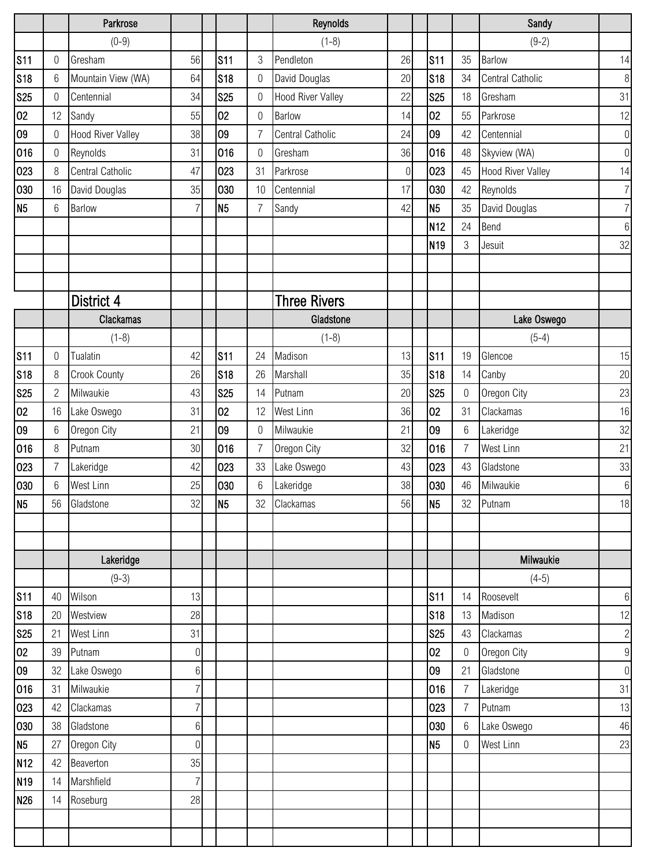|                 |                  | Parkrose           |                |                 |                | Reynolds                 |                  |                 |                | Sandy                    |                |
|-----------------|------------------|--------------------|----------------|-----------------|----------------|--------------------------|------------------|-----------------|----------------|--------------------------|----------------|
|                 |                  | $(0-9)$            |                |                 |                | $(1-8)$                  |                  |                 |                | $(9-2)$                  |                |
| <b>S11</b>      | $\boldsymbol{0}$ | Gresham            | 56             | s <sub>11</sub> | $\mathfrak{Z}$ | Pendleton                | 26               | <b>S11</b>      | 35             | <b>Barlow</b>            | 14             |
| <b>S18</b>      | 6                | Mountain View (WA) | 64             | <b>S18</b>      | 0              | David Douglas            | 20               | S <sub>18</sub> | 34             | Central Catholic         | $8\,$          |
| <b>S25</b>      | 0                | Centennial         | 34             | <b>S25</b>      | 0              | <b>Hood River Valley</b> | 22               | <b>S25</b>      | 18             | Gresham                  | 31             |
| 02              | 12               | Sandy              | 55             | 02              | 0              | Barlow                   | 14               | 02              | 55             | Parkrose                 | 12             |
| 09              | 0                | Hood River Valley  | 38             | 09              | $\overline{7}$ | Central Catholic         | 24               | 09              | 42             | Centennial               | $\overline{0}$ |
| 016             | $\boldsymbol{0}$ | Reynolds           | 31             | 016             | $\theta$       | Gresham                  | 36               | 016             | 48             | Skyview (WA)             | $\overline{0}$ |
| 023             | 8                | Central Catholic   | 47             | 023             | 31             | Parkrose                 | $\boldsymbol{0}$ | 023             | 45             | <b>Hood River Valley</b> | 14             |
| 030             | 16               | David Douglas      | 35             | 030             | 10             | Centennial               | 17               | 030             | 42             | Reynolds                 | $\overline{7}$ |
| N <sub>5</sub>  | 6                | <b>Barlow</b>      | 7              | N <sub>5</sub>  | 7              | Sandy                    | 42               | N <sub>5</sub>  | 35             | David Douglas            | $\overline{7}$ |
|                 |                  |                    |                |                 |                |                          |                  | N <sub>12</sub> | 24             | Bend                     | $6 \mid$       |
|                 |                  |                    |                |                 |                |                          |                  | N <sub>19</sub> | 3              | Jesuit                   | 32             |
|                 |                  |                    |                |                 |                |                          |                  |                 |                |                          |                |
|                 |                  |                    |                |                 |                |                          |                  |                 |                |                          |                |
|                 |                  | District 4         |                |                 |                | <b>Three Rivers</b>      |                  |                 |                |                          |                |
|                 |                  | <b>Clackamas</b>   |                |                 |                | Gladstone                |                  |                 |                | Lake Oswego              |                |
|                 |                  | $(1-8)$            |                |                 |                | $(1-8)$                  |                  |                 |                | $(5-4)$                  |                |
| <b>S11</b>      | $\mathbf 0$      | Tualatin           | 42             | <b>S11</b>      | 24             | Madison                  | 13               | S11             | 19             | Glencoe                  | 15             |
| <b>S18</b>      | 8                | Crook County       | 26             | <b>S18</b>      | 26             | Marshall                 | 35               | <b>S18</b>      | 14             | Canby                    | 20             |
| <b>S25</b>      | $\overline{2}$   | Milwaukie          | 43             | <b>S25</b>      | 14             | Putnam                   | 20               | <b>S25</b>      | $\mathbf 0$    | Oregon City              | 23             |
| 02              | 16               | Lake Oswego        | 31             | 02              | 12             | West Linn                | 36               | 02              | 31             | Clackamas                | 16             |
| 09              | 6                | Oregon City        | 21             | 09              | $\theta$       | Milwaukie                | 21               | 09              | $6\,$          | Lakeridge                | 32             |
| 016             | 8                | Putnam             | 30             | 016             | $\overline{7}$ | Oregon City              | 32               | 016             | $\overline{7}$ | West Linn                | 21             |
| 023             | $\overline{7}$   | Lakeridge          | 42             | 023             | 33             | Lake Oswego              | 43               | 023             | 43             | Gladstone                | 33             |
| 030             | 6                | <b>West Linn</b>   | 25             | 030             | 6              | Lakeridge                | 38               | 030             | 46             | Milwaukie                | $6 \,$         |
| N <sub>5</sub>  | 56               | Gladstone          | 32             | N <sub>5</sub>  | 32             | Clackamas                | 56               | N <sub>5</sub>  | 32             | Putnam                   | 18             |
|                 |                  |                    |                |                 |                |                          |                  |                 |                |                          |                |
|                 |                  |                    |                |                 |                |                          |                  |                 |                |                          |                |
|                 |                  | Lakeridge          |                |                 |                |                          |                  |                 |                | Milwaukie                |                |
|                 |                  | $(9-3)$            |                |                 |                |                          |                  |                 |                | $(4-5)$                  |                |
| S <sub>11</sub> | 40               | Wilson             | 13             |                 |                |                          |                  | S <sub>11</sub> | 14             | Roosevelt                | $6 \mid$       |
| <b>S18</b>      | 20               | Westview           | 28             |                 |                |                          |                  | <b>S18</b>      | 13             | Madison                  | 12             |
| <b>S25</b>      | 21               | West Linn          | 31             |                 |                |                          |                  | <b>S25</b>      | 43             | Clackamas                | $\overline{c}$ |
| 02              | 39               | Putnam             | $\overline{0}$ |                 |                |                          |                  | 02              | $\overline{0}$ | Oregon City              | 9              |
| 09              | 32               | Lake Oswego        | $6 \,$         |                 |                |                          |                  | 09              | 21             | Gladstone                | $\overline{0}$ |
| 016             | 31               | Milwaukie          | $\overline{7}$ |                 |                |                          |                  | 016             | $\overline{7}$ | Lakeridge                | 31             |
| 023             | 42               | Clackamas          | $\overline{7}$ |                 |                |                          |                  | 023             | $\overline{7}$ | Putnam                   | 13             |
| 030             | 38               | Gladstone          | $6 \,$         |                 |                |                          |                  | 030             | $6\,$          | Lake Oswego              | 46             |
| N <sub>5</sub>  | 27               | Oregon City        | $\overline{0}$ |                 |                |                          |                  | N <sub>5</sub>  | $\mathbf 0$    | West Linn                | 23             |
| N <sub>12</sub> | 42               | Beaverton          | 35             |                 |                |                          |                  |                 |                |                          |                |
| N <sub>19</sub> | 14               | Marshfield         | $\overline{7}$ |                 |                |                          |                  |                 |                |                          |                |
| N <sub>26</sub> | 14               | Roseburg           | 28             |                 |                |                          |                  |                 |                |                          |                |
|                 |                  |                    |                |                 |                |                          |                  |                 |                |                          |                |
|                 |                  |                    |                |                 |                |                          |                  |                 |                |                          |                |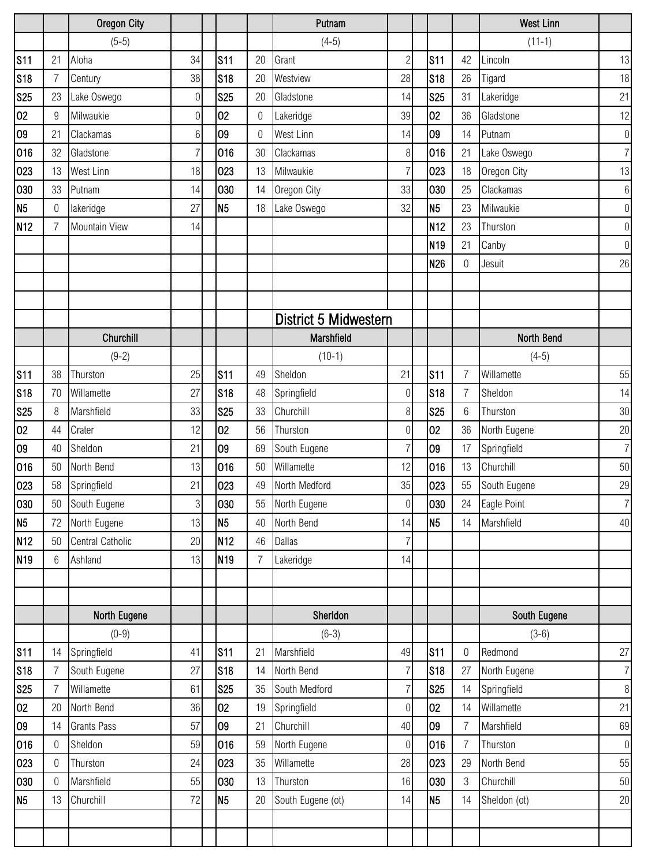|                 |                | Oregon City         |                 |                 |                | Putnam                |                  |                 |                 | <b>West Linn</b> |                |
|-----------------|----------------|---------------------|-----------------|-----------------|----------------|-----------------------|------------------|-----------------|-----------------|------------------|----------------|
|                 |                | $(5-5)$             |                 |                 |                | $(4-5)$               |                  |                 |                 | $(11-1)$         |                |
| S11             | 21             | Aloha               | 34              | <b>S11</b>      | 20             | Grant                 | $\overline{c}$   | <b>S11</b>      | 42              | Lincoln          | 13             |
| <b>S18</b>      | $\overline{7}$ | Century             | 38              | <b>S18</b>      | 20             | Westview              | 28               | S18             | 26              | Tigard           | 18             |
| <b>S25</b>      | 23             | Lake Oswego         | $\overline{0}$  | <b>S25</b>      | 20             | Gladstone             | 14               | <b>S25</b>      | 31              | Lakeridge        | 21             |
| 02              | 9              | Milwaukie           | $\overline{0}$  | 02              | $\theta$       | Lakeridge             | 39               | 02              | 36              | Gladstone        | 12             |
| 09              | 21             | Clackamas           | $6\phantom{.}6$ | 09              | $\Omega$       | West Linn             | 14               | 09              | 14              | Putnam           | $\overline{0}$ |
| 016             | 32             | Gladstone           | $\overline{7}$  | 016             | 30             | Clackamas             | 8                | 016             | 21              | Lake Oswego      | $\overline{7}$ |
| 023             | 13             | West Linn           | 18              | 023             | 13             | Milwaukie             | $\overline{7}$   | 023             | 18              | Oregon City      | 13             |
| 030             | 33             | Putnam              | 14              | 030             | 14             | Oregon City           | 33               | 030             | 25              | Clackamas        | $6 \mid$       |
| N <sub>5</sub>  | 0              | lakeridge           | 27              | <b>N5</b>       | 18             | Lake Oswego           | 32               | N <sub>5</sub>  | 23              | Milwaukie        | $\overline{0}$ |
| N <sub>12</sub> | $\overline{7}$ | Mountain View       | 14              |                 |                |                       |                  | N <sub>12</sub> | 23              | Thurston         | $\overline{0}$ |
|                 |                |                     |                 |                 |                |                       |                  | N <sub>19</sub> | 21              | Canby            | $\overline{0}$ |
|                 |                |                     |                 |                 |                |                       |                  | N <sub>26</sub> | $\mathbf 0$     | Jesuit           | 26             |
|                 |                |                     |                 |                 |                |                       |                  |                 |                 |                  |                |
|                 |                |                     |                 |                 |                |                       |                  |                 |                 |                  |                |
|                 |                |                     |                 |                 |                | District 5 Midwestern |                  |                 |                 |                  |                |
|                 |                | Churchill           |                 |                 |                | Marshfield            |                  |                 |                 | North Bend       |                |
|                 |                | $(9-2)$             |                 |                 |                | $(10-1)$              |                  |                 |                 | $(4-5)$          |                |
| <b>S11</b>      | 38             | Thurston            | 25              | <b>S11</b>      | 49             | Sheldon               | 21               | <b>S11</b>      | $\overline{7}$  | Willamette       | 55             |
| <b>S18</b>      | 70             | Willamette          | 27              | <b>S18</b>      | 48             | Springfield           | $\boldsymbol{0}$ | <b>S18</b>      | $\overline{7}$  | Sheldon          | 14             |
| <b>S25</b>      | 8              | Marshfield          | 33              | <b>S25</b>      | 33             | Churchill             | 8                | <b>S25</b>      | $6\phantom{.}6$ | Thurston         | 30             |
| 02              | 44             | Crater              | 12              | 02              | 56             | Thurston              | $\Omega$         | 02              | 36              | North Eugene     | 20             |
| 09              | 40             | Sheldon             | 21              | 09              | 69             | South Eugene          |                  | 09              | 17              | Springfield      | $\overline{7}$ |
| 016             | 50             | North Bend          | 13              | 016             | 50             | Willamette            | 12               | 016             | 13              | Churchill        | 50             |
| 023             | 58             | Springfield         | 21              | 023             | 49             | North Medford         | 35               | 023             | 55              | South Eugene     | 29             |
| 030             | 50             | South Eugene        | 3               | 030             | 55             | North Eugene          | $\boldsymbol{0}$ | 030             | 24              | Eagle Point      | $\overline{7}$ |
| N <sub>5</sub>  | 72             | North Eugene        | 13              | <b>N5</b>       | 40             | North Bend            | 14               | N5              | 14              | Marshfield       | 40             |
| N <sub>12</sub> | 50             | Central Catholic    | 20              | N <sub>12</sub> | 46             | <b>Dallas</b>         | 7                |                 |                 |                  |                |
| N <sub>19</sub> | 6              | Ashland             | 13              | N <sub>19</sub> | $\overline{7}$ | Lakeridge             | 14               |                 |                 |                  |                |
|                 |                |                     |                 |                 |                |                       |                  |                 |                 |                  |                |
|                 |                |                     |                 |                 |                |                       |                  |                 |                 |                  |                |
|                 |                | <b>North Eugene</b> |                 |                 |                | Sherldon              |                  |                 |                 | South Eugene     |                |
|                 |                | $(0-9)$             |                 |                 |                | $(6-3)$               |                  |                 |                 | $(3-6)$          |                |
| <b>S11</b>      | 14             | Springfield         | 41              | <b>S11</b>      | 21             | Marshfield            | 49               | <b>S11</b>      | $\theta$        | Redmond          | 27             |
| <b>S18</b>      | $\overline{7}$ | South Eugene        | 27              | <b>S18</b>      | 14             | North Bend            | $\overline{7}$   | <b>S18</b>      | 27              | North Eugene     | $\overline{7}$ |
| <b>S25</b>      | $\overline{7}$ | Willamette          | 61              | <b>S25</b>      | 35             | South Medford         | $\overline{7}$   | <b>S25</b>      | 14              | Springfield      | 8 <sup>1</sup> |
| 02              | 20             | North Bend          | 36              | 02              | 19             | Springfield           | $\boldsymbol{0}$ | 02              | 14              | Willamette       | 21             |
| 09              | 14             | <b>Grants Pass</b>  | 57              | 09              | 21             | Churchill             | 40               | 09              | $\overline{7}$  | Marshfield       | 69             |
| 016             | 0              | Sheldon             | 59              | 016             | 59             | North Eugene          | $\boldsymbol{0}$ | 016             | $\overline{7}$  | Thurston         | $\overline{0}$ |
| 023             | 0              | Thurston            | 24              | 023             | 35             | Willamette            | 28               | 023             | 29              | North Bend       | 55             |
| 030             | 0              | Marshfield          | 55              | 030             | 13             | Thurston              | 16               | 030             | 3               | Churchill        | 50             |
| N <sub>5</sub>  | 13             | Churchill           | 72              | <b>N5</b>       | 20             | South Eugene (ot)     | 14               | N5              | 14              | Sheldon (ot)     | 20             |
|                 |                |                     |                 |                 |                |                       |                  |                 |                 |                  |                |
|                 |                |                     |                 |                 |                |                       |                  |                 |                 |                  |                |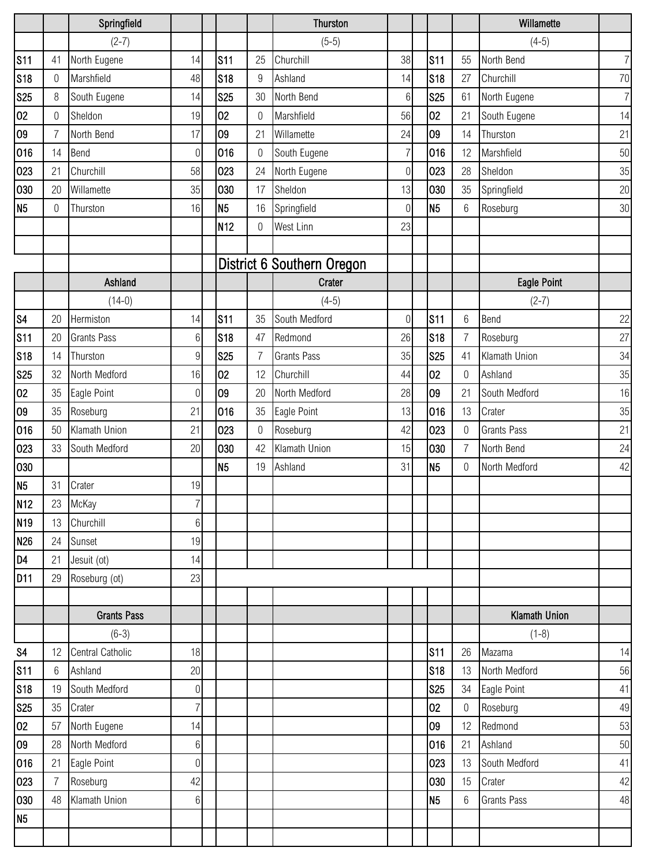|                 |                | Springfield        |                  |                 |                | Thurston                   |                  |                 |                  | Willamette           |                |
|-----------------|----------------|--------------------|------------------|-----------------|----------------|----------------------------|------------------|-----------------|------------------|----------------------|----------------|
|                 |                | $(2-7)$            |                  |                 |                | $(5-5)$                    |                  |                 |                  | $(4-5)$              |                |
| <b>S11</b>      | 41             | North Eugene       | 14               | <b>S11</b>      | 25             | Churchill                  | 38               | <b>S11</b>      | 55               | North Bend           | 7 <sup>1</sup> |
| <b>S18</b>      | $\mathbf 0$    | Marshfield         | 48               | <b>S18</b>      | 9              | Ashland                    | 14               | S18             | 27               | Churchill            | 70             |
| <b>S25</b>      | 8              | South Eugene       | 14               | <b>S25</b>      | 30             | North Bend                 | 6                | <b>S25</b>      | 61               | North Eugene         | $\overline{7}$ |
| 02              | $\mathbf 0$    | Sheldon            | 19               | 02              | 0              | Marshfield                 | 56               | 02              | 21               | South Eugene         | 14             |
| 09              | 7              | North Bend         | 17               | 09              | 21             | Willamette                 | 24               | 09              | 14               | Thurston             | 21             |
| 016             | 14             | Bend               | $\overline{0}$   | 016             | $\theta$       | South Eugene               | $\overline{7}$   | 016             | 12               | Marshfield           | 50             |
| 023             | 21             | Churchill          | 58               | 023             | 24             | North Eugene               | $\boldsymbol{0}$ | 023             | 28               | Sheldon              | 35             |
| 030             | 20             | Willamette         | 35               | 030             | 17             | Sheldon                    | 13               | 030             | 35               | Springfield          | 20             |
| N <sub>5</sub>  | 0              | Thurston           | 16               | <b>N5</b>       | 16             | Springfield                | $\mathbf 0$      | N5              | 6                | Roseburg             | 30             |
|                 |                |                    |                  | N <sub>12</sub> | 0              | West Linn                  | 23               |                 |                  |                      |                |
|                 |                |                    |                  |                 |                |                            |                  |                 |                  |                      |                |
|                 |                |                    |                  |                 |                | District 6 Southern Oregon |                  |                 |                  |                      |                |
|                 |                | Ashland            |                  |                 |                | Crater                     |                  |                 |                  | Eagle Point          |                |
|                 |                | $(14-0)$           |                  |                 |                | $(4-5)$                    |                  |                 |                  | $(2-7)$              |                |
| S <sub>4</sub>  | 20             | Hermiston          | 14               | <b>S11</b>      | 35             | South Medford              | $\overline{0}$   | <b>S11</b>      | 6                | Bend                 | 22             |
| S11             | 20             | <b>Grants Pass</b> | $6\phantom{.}6$  | <b>S18</b>      | 47             | Redmond                    | 26               | <b>S18</b>      | $\overline{7}$   | Roseburg             | 27             |
| <b>S18</b>      | 14             | Thurston           | $\overline{9}$   | <b>S25</b>      | $\overline{7}$ | <b>Grants Pass</b>         | 35               | <b>S25</b>      | 41               | Klamath Union        | 34             |
| <b>S25</b>      | 32             | North Medford      | 16               | 02              | 12             | Churchill                  | 44               | 02              | $\mathbf 0$      | Ashland              | 35             |
| 02              | 35             | Eagle Point        | $\boldsymbol{0}$ | 09              | 20             | North Medford              | 28               | 09              | 21               | South Medford        | 16             |
| 09              | 35             | Roseburg           | 21               | 016             | 35             | Eagle Point                | 13               | 016             | 13               | Crater               | 35             |
| 016             | 50             | Klamath Union      | 21               | 023             | 0              | Roseburg                   | 42               | 023             | $\boldsymbol{0}$ | <b>Grants Pass</b>   | 21             |
| 023             | 33             | South Medford      | 20               | 030             | 42             | Klamath Union              | 15               | 030             | $\overline{7}$   | North Bend           | 24             |
| 030             |                |                    |                  | N <sub>5</sub>  | 19             | Ashland                    | 31               | N <sub>5</sub>  | $\theta$         | North Medford        | 42             |
| N <sub>5</sub>  | 31             | Crater             | 19               |                 |                |                            |                  |                 |                  |                      |                |
| N <sub>12</sub> | 23             | McKay              | $\overline{7}$   |                 |                |                            |                  |                 |                  |                      |                |
| N <sub>19</sub> | 13             | Churchill          | $6\,$            |                 |                |                            |                  |                 |                  |                      |                |
| N26             | 24             | Sunset             | 19               |                 |                |                            |                  |                 |                  |                      |                |
| D <sub>4</sub>  | 21             | Jesuit (ot)        | 14               |                 |                |                            |                  |                 |                  |                      |                |
| D <sub>11</sub> | 29             | Roseburg (ot)      | 23               |                 |                |                            |                  |                 |                  |                      |                |
|                 |                |                    |                  |                 |                |                            |                  |                 |                  |                      |                |
|                 |                | <b>Grants Pass</b> |                  |                 |                |                            |                  |                 |                  | <b>Klamath Union</b> |                |
|                 |                | $(6-3)$            |                  |                 |                |                            |                  |                 |                  | $(1-8)$              |                |
| S <sub>4</sub>  | 12             | Central Catholic   | 18               |                 |                |                            |                  | S <sub>11</sub> | 26               | Mazama               | 14             |
| <b>S11</b>      | 6              | Ashland            | 20               |                 |                |                            |                  | <b>S18</b>      | 13               | North Medford        | 56             |
| <b>S18</b>      | 19             | South Medford      | $\overline{0}$   |                 |                |                            |                  | <b>S25</b>      | 34               | Eagle Point          | 41             |
| <b>S25</b>      | 35             | Crater             | $\overline{7}$   |                 |                |                            |                  | 02              | $\mathbf 0$      | Roseburg             | 49             |
| 02              | 57             | North Eugene       | 14               |                 |                |                            |                  | 09              | 12               | Redmond              | 53             |
| 09              | 28             | North Medford      | $6\,$            |                 |                |                            |                  | 016             | 21               | Ashland              | 50             |
| 016             | 21             | Eagle Point        | $\overline{0}$   |                 |                |                            |                  | 023             | 13               | South Medford        | 41             |
| 023             | $\overline{7}$ | Roseburg           | 42               |                 |                |                            |                  | 030             | 15               | Crater               | 42             |
| 030             | 48             | Klamath Union      | $6 \,$           |                 |                |                            |                  | N <sub>5</sub>  | $6\phantom{1}$   | <b>Grants Pass</b>   | 48             |
| N <sub>5</sub>  |                |                    |                  |                 |                |                            |                  |                 |                  |                      |                |
|                 |                |                    |                  |                 |                |                            |                  |                 |                  |                      |                |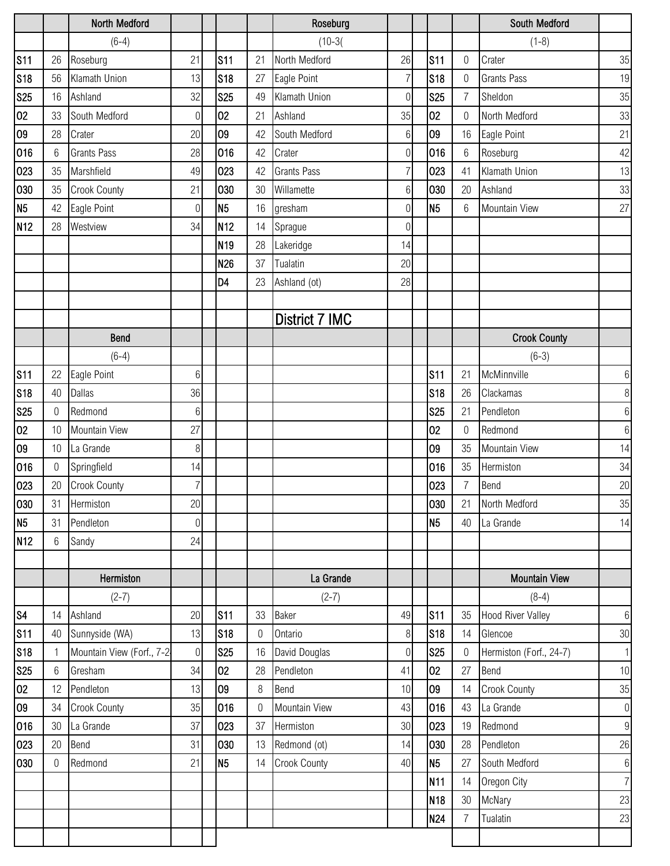|                 |                | North Medford             |                 |                 |                | Roseburg            |                |                 |                 | South Medford           |                  |
|-----------------|----------------|---------------------------|-----------------|-----------------|----------------|---------------------|----------------|-----------------|-----------------|-------------------------|------------------|
|                 |                | $(6-4)$                   |                 |                 |                | $(10-3($            |                |                 |                 | $(1-8)$                 |                  |
| <b>S11</b>      | 26             | Roseburg                  | 21              | <b>S11</b>      | 21             | North Medford       | 26             | <b>S11</b>      | $\mathbf 0$     | Crater                  | 35               |
| <b>S18</b>      | 56             | Klamath Union             | 13              | <b>S18</b>      | 27             | Eagle Point         | $\overline{7}$ | S18             | $\mathbf 0$     | <b>Grants Pass</b>      | 19               |
| <b>S25</b>      | 16             | Ashland                   | 32              | <b>S25</b>      | 49             | Klamath Union       | 0              | <b>S25</b>      | $\overline{7}$  | Sheldon                 | 35               |
| 02              | 33             | South Medford             | $\overline{0}$  | 02              | 21             | Ashland             | 35             | 02              | 0               | North Medford           | 33               |
| 09              | 28             | Crater                    | 20              | 09              | 42             | South Medford       | 6              | 09              | 16              | Eagle Point             | 21               |
| 016             | $6\phantom{1}$ | <b>Grants Pass</b>        | 28              | 016             | 42             | Crater              | 0              | 016             | $6\,$           | Roseburg                | 42               |
| 023             | 35             | Marshfield                | 49              | 023             | 42             | <b>Grants Pass</b>  | 7              | 023             | 41              | Klamath Union           | 13               |
| 030             | 35             | Crook County              | 21              | 030             | 30             | Willamette          | $6\,$          | 030             | 20              | Ashland                 | 33               |
| N <sub>5</sub>  | 42             | Eagle Point               | $\overline{0}$  | N <sub>5</sub>  | 16             | gresham             | $\theta$       | N <sub>5</sub>  | $6\phantom{.}6$ | Mountain View           | 27               |
| N <sub>12</sub> | 28             | Westview                  | 34              | N <sub>12</sub> | 14             | Sprague             | $\mathbf 0$    |                 |                 |                         |                  |
|                 |                |                           |                 | N <sub>19</sub> | 28             | Lakeridge           | 14             |                 |                 |                         |                  |
|                 |                |                           |                 | N <sub>26</sub> | 37             | Tualatin            | 20             |                 |                 |                         |                  |
|                 |                |                           |                 | D <sub>4</sub>  | 23             | Ashland (ot)        | 28             |                 |                 |                         |                  |
|                 |                |                           |                 |                 |                |                     |                |                 |                 |                         |                  |
|                 |                |                           |                 |                 |                | District 7 IMC      |                |                 |                 |                         |                  |
|                 |                | <b>Bend</b>               |                 |                 |                |                     |                |                 |                 | <b>Crook County</b>     |                  |
|                 |                | $(6-4)$                   |                 |                 |                |                     |                |                 |                 | $(6-3)$                 |                  |
| <b>S11</b>      | 22             | Eagle Point               | $6\phantom{.}6$ |                 |                |                     |                | S <sub>11</sub> | 21              | McMinnville             | 6                |
| <b>S18</b>      | 40             | <b>Dallas</b>             | 36              |                 |                |                     |                | S18             | 26              | Clackamas               | $\, 8$           |
| <b>S25</b>      | 0              | Redmond                   | $6\phantom{.}6$ |                 |                |                     |                | <b>S25</b>      | 21              | Pendleton               | $6\,$            |
| 02              | 10             | <b>Mountain View</b>      | 27              |                 |                |                     |                | 02              | $\mathbf 0$     | Redmond                 | 6                |
| 09              | 10             | La Grande                 | 8               |                 |                |                     |                | 09              | 35              | Mountain View           | 14               |
| 016             | $\mathbf 0$    | Springfield               | 14              |                 |                |                     |                | 016             | 35              | Hermiston               | 34               |
| 023             | 20             | <b>Crook County</b>       | $\overline{7}$  |                 |                |                     |                | 023             | $\overline{7}$  | Bend                    | 20               |
| 030             | 31             | Hermiston                 | $20\,$          |                 |                |                     |                | 030             | 21              | North Medford           | 35               |
| N <sub>5</sub>  | 31             | Pendleton                 | $\overline{0}$  |                 |                |                     |                | N <sub>5</sub>  | 40              | La Grande               | 14               |
| N <sub>12</sub> | 6              | Sandy                     | 24              |                 |                |                     |                |                 |                 |                         |                  |
|                 |                |                           |                 |                 |                |                     |                |                 |                 |                         |                  |
|                 |                | Hermiston                 |                 |                 |                | La Grande           |                |                 |                 | <b>Mountain View</b>    |                  |
|                 |                | $(2-7)$                   |                 |                 |                | $(2-7)$             |                |                 |                 | $(8-4)$                 |                  |
| S <sub>4</sub>  | 14             | Ashland                   | 20              | <b>S11</b>      | 33             | <b>Baker</b>        | 49             | S <sub>11</sub> | 35              | Hood River Valley       | $6\,$            |
| <b>S11</b>      | 40             | Sunnyside (WA)            | 13              | S <sub>18</sub> | $\overline{0}$ | Ontario             | 8              | S18             | 14              | Glencoe                 | 30               |
| <b>S18</b>      | $\mathbf{1}$   | Mountain View (Forf., 7-2 | $\overline{0}$  | <b>S25</b>      | 16             | David Douglas       | $\mathbf 0$    | <b>S25</b>      | $\mathbf 0$     | Hermiston (Forf., 24-7) | $\mathbf{1}$     |
| <b>S25</b>      | 6              | Gresham                   | 34              | 02              | 28             | Pendleton           | 41             | 02              | 27              | Bend                    | 10               |
| 02              | 12             | Pendleton                 | 13              | 09              | $\,8\,$        | Bend                | 10             | 09              | 14              | <b>Crook County</b>     | 35               |
| 09              | 34             | <b>Crook County</b>       | 35              | 016             | $\theta$       | Mountain View       | 43             | 016             | 43              | La Grande               | $\boldsymbol{0}$ |
| 016             | 30             | La Grande                 | 37              | 023             | 37             | Hermiston           | 30             | 023             | 19              | Redmond                 | $\boldsymbol{9}$ |
| 023             | 20             | Bend                      | 31              | 030             | 13             | Redmond (ot)        | 14             | 030             | 28              | Pendleton               | 26               |
| 030             | 0              | Redmond                   | 21              | N <sub>5</sub>  | 14             | <b>Crook County</b> | 40             | N <sub>5</sub>  | 27              | South Medford           | $6\,$            |
|                 |                |                           |                 |                 |                |                     |                | N <sub>11</sub> | 14              | Oregon City             | $\overline{7}$   |
|                 |                |                           |                 |                 |                |                     |                | N <sub>18</sub> | 30              | McNary                  | 23               |
|                 |                |                           |                 |                 |                |                     |                | N <sub>24</sub> | 7               | Tualatin                | 23               |
|                 |                |                           |                 |                 |                |                     |                |                 |                 |                         |                  |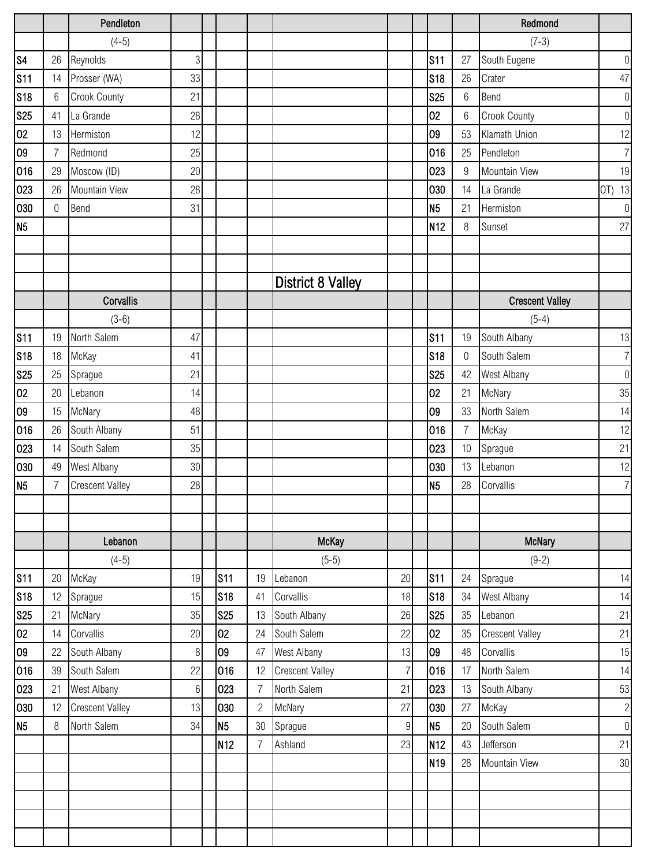|                        |                | Pendleton              |         |                 |                |                          |                  |                 |                  | Redmond                |        |                  |
|------------------------|----------------|------------------------|---------|-----------------|----------------|--------------------------|------------------|-----------------|------------------|------------------------|--------|------------------|
|                        |                | $(4-5)$                |         |                 |                |                          |                  |                 |                  | $(7-3)$                |        |                  |
| $\overline{\text{S4}}$ | 26             | Reynolds               | 3       |                 |                |                          |                  | ls11            | 27               | South Eugene           |        | $\boldsymbol{0}$ |
| <b>S11</b>             | 14             | Prosser (WA)           | 33      |                 |                |                          |                  | <b>S18</b>      | 26               | Crater                 |        | 47               |
| <b>S18</b>             | 6              | <b>Crook County</b>    | 21      |                 |                |                          |                  | <b>S25</b>      | $6\,$            | Bend                   |        | $\boldsymbol{0}$ |
| <b>S25</b>             | 41             | La Grande              | 28      |                 |                |                          |                  | 02              | $6\,$            | Crook County           |        | $\boldsymbol{0}$ |
| 02                     | 13             | Hermiston              | 12      |                 |                |                          |                  | 09              | 53               | Klamath Union          |        | 12               |
| 09                     | $\overline{7}$ | Redmond                | 25      |                 |                |                          |                  | 016             | 25               | Pendleton              |        | $\overline{7}$   |
| 016                    | 29             | Moscow (ID)            | 20      |                 |                |                          |                  | 023             | $\boldsymbol{9}$ | Mountain View          |        | 19               |
| 023                    | 26             | <b>Mountain View</b>   | 28      |                 |                |                          |                  | 030             | 14               | La Grande              | OT) 13 |                  |
| 030                    | $\mathbf 0$    | Bend                   | 31      |                 |                |                          |                  | N <sub>5</sub>  | 21               | Hermiston              |        | $\mathbf 0$      |
| N <sub>5</sub>         |                |                        |         |                 |                |                          |                  | N <sub>12</sub> | $\,8\,$          | Sunset                 |        | 27               |
|                        |                |                        |         |                 |                |                          |                  |                 |                  |                        |        |                  |
|                        |                |                        |         |                 |                |                          |                  |                 |                  |                        |        |                  |
|                        |                |                        |         |                 |                | <b>District 8 Valley</b> |                  |                 |                  |                        |        |                  |
|                        |                | Corvallis              |         |                 |                |                          |                  |                 |                  | <b>Crescent Valley</b> |        |                  |
|                        |                | $(3-6)$                |         |                 |                |                          |                  |                 |                  | $(5-4)$                |        |                  |
| s <sub>11</sub>        | 19             | North Salem            | 47      |                 |                |                          |                  | <b>S11</b>      | 19               | South Albany           |        | 13               |
| <b>S18</b>             | 18             | McKay                  | 41      |                 |                |                          |                  | <b>S18</b>      | $\boldsymbol{0}$ | South Salem            |        | $\overline{7}$   |
| <b>S25</b>             | 25             | Sprague                | 21      |                 |                |                          |                  | S25             | 42               | West Albany            |        | $\boldsymbol{0}$ |
| 02                     | 20             | Lebanon                | 14      |                 |                |                          |                  | 02              | 21               | McNary                 |        | 35               |
| 09                     | 15             | McNary                 | 48      |                 |                |                          |                  | 09              | 33               | North Salem            |        | 14               |
| 016                    | 26             | South Albany           | 51      |                 |                |                          |                  | 016             | $\overline{7}$   | McKay                  |        | 12               |
| 023                    | 14             | South Salem            | 35      |                 |                |                          |                  | 023             | 10               | Sprague                |        | 21               |
| 030                    | 49             | West Albany            | 30      |                 |                |                          |                  | 030             | 13               | Lebanon                |        | 12               |
| N <sub>5</sub>         | $\overline{7}$ | <b>Crescent Valley</b> | 28      |                 |                |                          |                  | N <sub>5</sub>  | 28               | Corvallis              |        | $\overline{7}$   |
|                        |                |                        |         |                 |                |                          |                  |                 |                  |                        |        |                  |
|                        |                |                        |         |                 |                |                          |                  |                 |                  |                        |        |                  |
|                        |                | Lebanon                |         |                 |                | McKay                    |                  |                 |                  | <b>McNary</b>          |        |                  |
|                        |                | $(4-5)$                |         |                 |                | $(5-5)$                  |                  |                 |                  | $(9-2)$                |        |                  |
| <b>S11</b>             | 20             | McKay                  | 19      | <b>S11</b>      | 19             | Lebanon                  | 20               | <b>S11</b>      | 24               | Sprague                |        | 14               |
| <b>S18</b>             | 12             | Sprague                | 15      | S <sub>18</sub> | 41             | Corvallis                | 18               | S <sub>18</sub> | 34               | West Albany            |        | 14               |
| <b>S25</b>             | 21             | McNary                 | 35      | <b>S25</b>      | 13             | South Albany             | 26               | <b>S25</b>      | 35               | Lebanon                |        | 21               |
| 02                     | 14             | Corvallis              | 20      | 02              | 24             | South Salem              | 22               | 02              | 35               | <b>Crescent Valley</b> |        | 21               |
| 09                     | 22             | South Albany           | $\,8\,$ | 09              | 47             | West Albany              | 13               | 09              | 48               | Corvallis              |        | 15               |
| 016                    | 39             | South Salem            | 22      | 016             | 12             | <b>Crescent Valley</b>   | $\overline{7}$   | 016             | 17               | North Salem            |        | 14               |
| 023                    | 21             | West Albany            | $6\,$   | 023             | $\overline{7}$ | North Salem              | 21               | 023             | 13               | South Albany           |        | 53               |
| 030                    | 12             | <b>Crescent Valley</b> | 13      | 030             | $\mathbf{2}$   | McNary                   | 27               | 030             | 27               | McKay                  |        | $\overline{c}$   |
| N <sub>5</sub>         | 8              | North Salem            | 34      | N <sub>5</sub>  | 30             | Sprague                  | $\boldsymbol{9}$ | N <sub>5</sub>  | 20               | South Salem            |        | $\boldsymbol{0}$ |
|                        |                |                        |         | N <sub>12</sub> | $\overline{7}$ | Ashland                  | 23               | N <sub>12</sub> | 43               | Jefferson              |        | 21               |
|                        |                |                        |         |                 |                |                          |                  | N <sub>19</sub> | 28               | Mountain View          |        | 30               |
|                        |                |                        |         |                 |                |                          |                  |                 |                  |                        |        |                  |
|                        |                |                        |         |                 |                |                          |                  |                 |                  |                        |        |                  |
|                        |                |                        |         |                 |                |                          |                  |                 |                  |                        |        |                  |
|                        |                |                        |         |                 |                |                          |                  |                 |                  |                        |        |                  |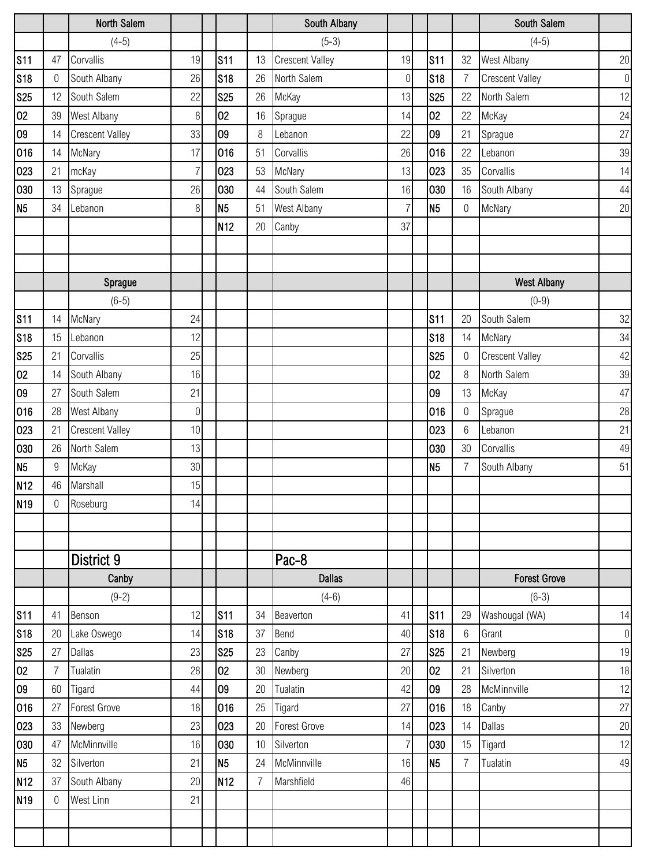|                 |                  | <b>North Salem</b>     |                |                 |                 | South Albany           |                |                 |                  | South Salem            |                  |
|-----------------|------------------|------------------------|----------------|-----------------|-----------------|------------------------|----------------|-----------------|------------------|------------------------|------------------|
|                 |                  | $(4-5)$                |                |                 |                 | $(5-3)$                |                |                 |                  | $(4-5)$                |                  |
| <b>S11</b>      | 47               | Corvallis              | 19             | <b>S11</b>      | 13              | <b>Crescent Valley</b> | 19             | S <sub>11</sub> | 32               | West Albany            | 20               |
| <b>S18</b>      | $\mathbf 0$      | South Albany           | 26             | <b>S18</b>      | 26              | North Salem            | $\overline{0}$ | S18             | $\overline{7}$   | <b>Crescent Valley</b> | $\boldsymbol{0}$ |
| <b>S25</b>      | 12               | South Salem            | 22             | <b>S25</b>      | 26              | McKay                  | 13             | <b>S25</b>      | 22               | North Salem            | 12               |
| 02              | 39               | West Albany            | 8              | 02              | 16              | Sprague                | 14             | 02              | 22               | McKay                  | 24               |
| 09              | 14               | <b>Crescent Valley</b> | 33             | 09              | 8               | Lebanon                | 22             | 09              | 21               | Sprague                | 27               |
| 016             | 14               | McNary                 | 17             | 016             | 51              | Corvallis              | 26             | 016             | 22               | Lebanon                | 39               |
| 023             | 21               | mcKay                  | $\overline{7}$ | 023             | 53              | McNary                 | 13             | 023             | 35               | Corvallis              | 14               |
| 030             | 13               | Sprague                | 26             | 030             | 44              | South Salem            | 16             | 030             | 16               | South Albany           | 44               |
| N <sub>5</sub>  | 34               | Lebanon                | 8              | N <sub>5</sub>  | 51              | <b>West Albany</b>     | 7              | N <sub>5</sub>  | $\boldsymbol{0}$ | McNary                 | 20               |
|                 |                  |                        |                | N <sub>12</sub> | 20              | Canby                  | 37             |                 |                  |                        |                  |
|                 |                  |                        |                |                 |                 |                        |                |                 |                  |                        |                  |
|                 |                  |                        |                |                 |                 |                        |                |                 |                  |                        |                  |
|                 |                  | Sprague                |                |                 |                 |                        |                |                 |                  | <b>West Albany</b>     |                  |
|                 |                  | $(6-5)$                |                |                 |                 |                        |                |                 |                  | $(0-9)$                |                  |
| <b>S11</b>      | 14               | McNary                 | 24             |                 |                 |                        |                | S <sub>11</sub> | 20               | South Salem            | 32               |
| <b>S18</b>      | 15               | Lebanon                | 12             |                 |                 |                        |                | <b>S18</b>      | 14               | McNary                 | 34               |
| <b>S25</b>      | 21               | Corvallis              | 25             |                 |                 |                        |                | <b>S25</b>      | 0                | <b>Crescent Valley</b> | 42               |
| 02              | 14               | South Albany           | 16             |                 |                 |                        |                | 02              | 8                | North Salem            | 39               |
| 09              | 27               | South Salem            | 21             |                 |                 |                        |                | 09              | 13               | McKay                  | 47               |
| 016             | 28               | West Albany            | $\mathbf 0$    |                 |                 |                        |                | 016             | $\mathbf 0$      | Sprague                | 28               |
| 023             | 21               | <b>Crescent Valley</b> | 10             |                 |                 |                        |                | 023             | 6                | Lebanon                | 21               |
| 030             | 26               | North Salem            | 13             |                 |                 |                        |                | 030             | 30               | Corvallis              | 49               |
| N <sub>5</sub>  | $9\phantom{.0}$  | McKay                  | 30             |                 |                 |                        |                | N <sub>5</sub>  | $\overline{7}$   | South Albany           | 51               |
| N <sub>12</sub> | 46               | Marshall               | 15             |                 |                 |                        |                |                 |                  |                        |                  |
| N <sub>19</sub> | $\boldsymbol{0}$ | Roseburg               | 14             |                 |                 |                        |                |                 |                  |                        |                  |
|                 |                  |                        |                |                 |                 |                        |                |                 |                  |                        |                  |
|                 |                  |                        |                |                 |                 |                        |                |                 |                  |                        |                  |
|                 |                  | District 9             |                |                 |                 | Pac-8                  |                |                 |                  |                        |                  |
|                 |                  | Canby                  |                |                 |                 | <b>Dallas</b>          |                |                 |                  | <b>Forest Grove</b>    |                  |
|                 |                  | $(9-2)$                |                |                 |                 | $(4-6)$                |                |                 |                  | $(6-3)$                |                  |
| <b>S11</b>      | 41               | Benson                 | 12             | <b>S11</b>      | 34              | Beaverton              | 41             | S <sub>11</sub> | 29               | Washougal (WA)         | 14               |
| <b>S18</b>      | 20               | Lake Oswego            | 14             | <b>S18</b>      | 37              | Bend                   | 40             | <b>S18</b>      | $6\,$            | Grant                  | $\boldsymbol{0}$ |
| <b>S25</b>      | 27               | <b>Dallas</b>          | 23             | <b>S25</b>      | 23              | Canby                  | 27             | <b>S25</b>      | 21               | Newberg                | 19               |
| 02              | $\overline{7}$   | Tualatin               | 28             | 02              | 30              | Newberg                | 20             | 02              | 21               | Silverton              | 18               |
| 09              | 60               | Tigard                 | 44             | 09              | 20              | Tualatin               | 42             | 09              | 28               | McMinnville            | 12               |
| 016             | 27               | <b>Forest Grove</b>    | 18             | 016             | 25              | Tigard                 | 27             | 016             | 18               | Canby                  | 27               |
| 023             | 33               | Newberg                | 23             | 023             | 20              | <b>Forest Grove</b>    | 14             | 023             | 14               | Dallas                 | 20               |
| 030             | 47               | McMinnville            | 16             | 030             | 10 <sup>°</sup> | Silverton              | $\overline{7}$ | 030             | 15               | Tigard                 | 12               |
| N <sub>5</sub>  | 32               | Silverton              | 21             | N <sub>5</sub>  | 24              | McMinnville            | 16             | N <sub>5</sub>  | 7                | Tualatin               | 49               |
| N <sub>12</sub> | 37               | South Albany           | 20             | N <sub>12</sub> | $\overline{7}$  | Marshfield             | 46             |                 |                  |                        |                  |
| N <sub>19</sub> | $\mathbf 0$      | West Linn              | 21             |                 |                 |                        |                |                 |                  |                        |                  |
|                 |                  |                        |                |                 |                 |                        |                |                 |                  |                        |                  |
|                 |                  |                        |                |                 |                 |                        |                |                 |                  |                        |                  |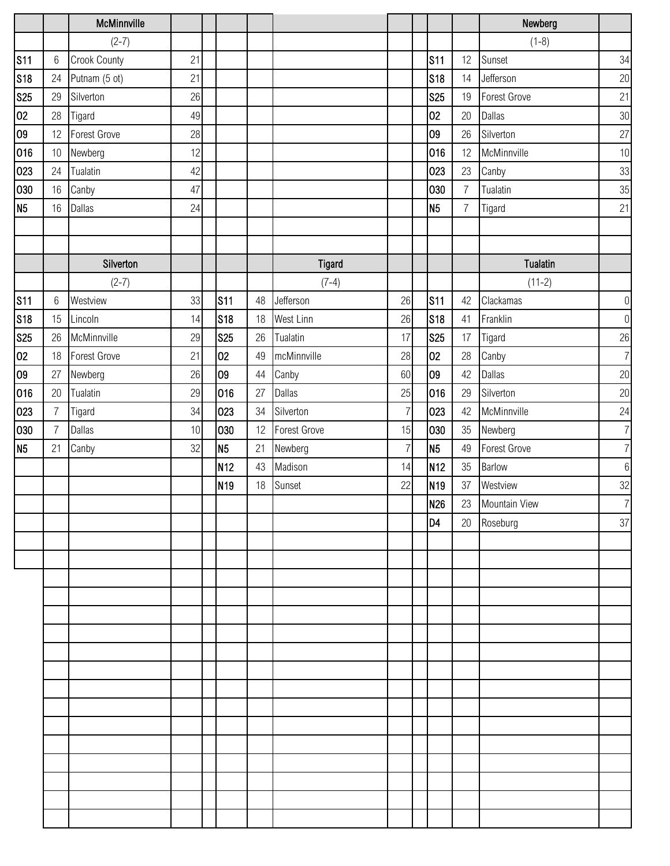|                |                | McMinnville         |    |                 |    |                     |                |                 |                | Newberg             |                  |
|----------------|----------------|---------------------|----|-----------------|----|---------------------|----------------|-----------------|----------------|---------------------|------------------|
|                |                | $(2-7)$             |    |                 |    |                     |                |                 |                | $(1-8)$             |                  |
| <b>S11</b>     | 6              | <b>Crook County</b> | 21 |                 |    |                     |                | S <sub>11</sub> | 12             | Sunset              | 34               |
| <b>S18</b>     | 24             | Putnam (5 ot)       | 21 |                 |    |                     |                | S18             | 14             | Jefferson           | 20               |
| <b>S25</b>     | 29             | Silverton           | 26 |                 |    |                     |                | <b>S25</b>      | 19             | <b>Forest Grove</b> | 21               |
| 02             | 28             | Tigard              | 49 |                 |    |                     |                | 02              | 20             | <b>Dallas</b>       | 30               |
| 09             | 12             | <b>Forest Grove</b> | 28 |                 |    |                     |                | 09              | 26             | Silverton           | 27               |
| 016            | $10\,$         | Newberg             | 12 |                 |    |                     |                | 016             | 12             | McMinnville         | 10               |
| 023            | 24             | Tualatin            | 42 |                 |    |                     |                | 023             | 23             | Canby               | 33               |
| 030            | 16             | Canby               | 47 |                 |    |                     |                | 030             | $\overline{7}$ | Tualatin            | 35               |
| N <sub>5</sub> | 16             | Dallas              | 24 |                 |    |                     |                | N <sub>5</sub>  | $\overline{7}$ | Tigard              | 21               |
|                |                |                     |    |                 |    |                     |                |                 |                |                     |                  |
|                |                |                     |    |                 |    |                     |                |                 |                |                     |                  |
|                |                | Silverton           |    |                 |    | Tigard              |                |                 |                | Tualatin            |                  |
|                |                | $(2-7)$             |    |                 |    | $(7-4)$             |                |                 |                | $(11-2)$            |                  |
| <b>S11</b>     | 6              | Westview            | 33 | <b>S11</b>      | 48 | Jefferson           | 26             | S <sub>11</sub> | 42             | Clackamas           | $\boldsymbol{0}$ |
| <b>S18</b>     | 15             | Lincoln             | 14 | <b>S18</b>      | 18 | West Linn           | 26             | S18             | 41             | Franklin            | $\boldsymbol{0}$ |
| <b>S25</b>     | 26             | McMinnville         | 29 | S <sub>25</sub> | 26 | Tualatin            | 17             | <b>S25</b>      | 17             | Tigard              | 26               |
| 02             | 18             | <b>Forest Grove</b> | 21 | 02              | 49 | mcMinnville         | 28             | 02              | 28             | Canby               | $\overline{7}$   |
| 09             | 27             | Newberg             | 26 | 09              | 44 | Canby               | 60             | 09              | 42             | Dallas              | 20               |
| 016            | 20             | Tualatin            | 29 | 016             | 27 | Dallas              | 25             | 016             | 29             | Silverton           | 20               |
| 023            | $\overline{7}$ | Tigard              | 34 | 023             | 34 | Silverton           | $\overline{7}$ | 023             | 42             | McMinnville         | 24               |
| 030            | $\overline{7}$ | Dallas              | 10 | 030             | 12 | <b>Forest Grove</b> | 15             | 030             | 35             | Newberg             | $\overline{7}$   |
| N <sub>5</sub> | 21             | Canby               | 32 | N <sub>5</sub>  | 21 | Newberg             | $\overline{7}$ | N <sub>5</sub>  | 49             | Forest Grove        | $\overline{7}$   |
|                |                |                     |    | N <sub>12</sub> | 43 | Madison             | 14             | N <sub>12</sub> | 35             | <b>Barlow</b>       | $\,6\,$          |
|                |                |                     |    | N <sub>19</sub> | 18 | Sunset              | 22             | N <sub>19</sub> | 37             | Westview            | 32               |
|                |                |                     |    |                 |    |                     |                | N <sub>26</sub> |                | 23 Mountain View    | $\overline{7}$   |
|                |                |                     |    |                 |    |                     |                | D <sub>4</sub>  | 20             | Roseburg            | 37               |
|                |                |                     |    |                 |    |                     |                |                 |                |                     |                  |
|                |                |                     |    |                 |    |                     |                |                 |                |                     |                  |
|                |                |                     |    |                 |    |                     |                |                 |                |                     |                  |
|                |                |                     |    |                 |    |                     |                |                 |                |                     |                  |
|                |                |                     |    |                 |    |                     |                |                 |                |                     |                  |
|                |                |                     |    |                 |    |                     |                |                 |                |                     |                  |
|                |                |                     |    |                 |    |                     |                |                 |                |                     |                  |
|                |                |                     |    |                 |    |                     |                |                 |                |                     |                  |
|                |                |                     |    |                 |    |                     |                |                 |                |                     |                  |
|                |                |                     |    |                 |    |                     |                |                 |                |                     |                  |
|                |                |                     |    |                 |    |                     |                |                 |                |                     |                  |
|                |                |                     |    |                 |    |                     |                |                 |                |                     |                  |
|                |                |                     |    |                 |    |                     |                |                 |                |                     |                  |
|                |                |                     |    |                 |    |                     |                |                 |                |                     |                  |
|                |                |                     |    |                 |    |                     |                |                 |                |                     |                  |
|                |                |                     |    |                 |    |                     |                |                 |                |                     |                  |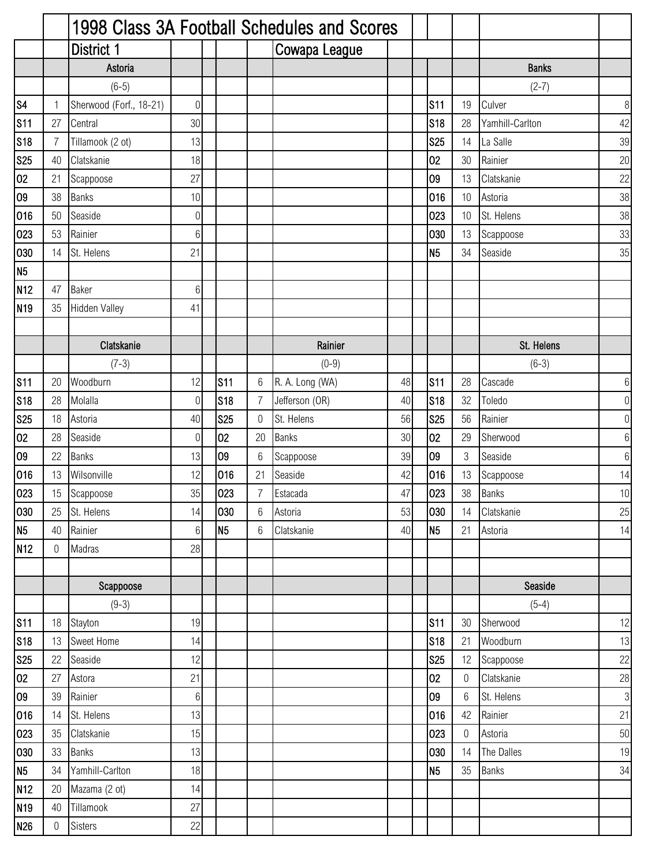|                 |                  |                         | 1998 Class 3A Football Schedules and Scores |                |            |                |                 |    |  |                 |                  |                 |                  |
|-----------------|------------------|-------------------------|---------------------------------------------|----------------|------------|----------------|-----------------|----|--|-----------------|------------------|-----------------|------------------|
|                 |                  | District 1              |                                             |                |            |                | Cowapa League   |    |  |                 |                  |                 |                  |
|                 |                  | Astoria                 |                                             |                |            |                |                 |    |  |                 |                  | <b>Banks</b>    |                  |
|                 |                  | $(6-5)$                 |                                             |                |            |                |                 |    |  |                 |                  | $(2-7)$         |                  |
| S <sub>4</sub>  | $\mathbf{1}$     | Sherwood (Forf., 18-21) | $\overline{0}$                              |                |            |                |                 |    |  | S <sub>11</sub> | 19               | Culver          | 8 <sup>1</sup>   |
| <b>S11</b>      | 27               | Central                 | 30                                          |                |            |                |                 |    |  | S <sub>18</sub> | 28               | Yamhill-Carlton | 42               |
| <b>S18</b>      | $\overline{7}$   | Tillamook (2 ot)        | 13                                          |                |            |                |                 |    |  | <b>S25</b>      | 14               | La Salle        | 39               |
| <b>S25</b>      | 40               | Clatskanie              | 18                                          |                |            |                |                 |    |  | 02              | 30               | Rainier         | 20               |
| 02              | 21               | Scappoose               | 27                                          |                |            |                |                 |    |  | 09              | 13               | Clatskanie      | 22               |
| 09              | 38               | <b>Banks</b>            | 10                                          |                |            |                |                 |    |  | 016             | 10               | Astoria         | 38               |
| 016             | 50               | Seaside                 | $\overline{0}$                              |                |            |                |                 |    |  | 023             | 10               | St. Helens      | 38               |
| 023             | 53               | Rainier                 | $6 \,$                                      |                |            |                |                 |    |  | 030             | 13               | Scappoose       | 33               |
| 030             | 14               | St. Helens              | 21                                          |                |            |                |                 |    |  | N <sub>5</sub>  | 34               | Seaside         | 35               |
| N <sub>5</sub>  |                  |                         |                                             |                |            |                |                 |    |  |                 |                  |                 |                  |
| N <sub>12</sub> | 47               | <b>Baker</b>            | $6\phantom{.}6$                             |                |            |                |                 |    |  |                 |                  |                 |                  |
| N <sub>19</sub> | 35               | <b>Hidden Valley</b>    | 41                                          |                |            |                |                 |    |  |                 |                  |                 |                  |
|                 |                  |                         |                                             |                |            |                |                 |    |  |                 |                  |                 |                  |
|                 |                  | Clatskanie              |                                             |                |            |                | Rainier         |    |  |                 |                  | St. Helens      |                  |
|                 |                  | $(7-3)$                 |                                             |                |            |                | $(0-9)$         |    |  |                 |                  | $(6-3)$         |                  |
| <b>S11</b>      | 20               | Woodburn                | 12                                          |                | <b>S11</b> | 6              | R. A. Long (WA) | 48 |  | <b>S11</b>      | 28               | Cascade         | $6 \mid$         |
| <b>S18</b>      | 28               | Molalla                 | $\overline{0}$                              |                | <b>S18</b> | $\overline{7}$ | Jefferson (OR)  | 40 |  | <b>S18</b>      | 32               | Toledo          | $\overline{0}$   |
| <b>S25</b>      | 18               | Astoria                 | 40                                          |                | <b>S25</b> | 0              | St. Helens      | 56 |  | <b>S25</b>      | 56               | Rainier         | $\boldsymbol{0}$ |
| 02              | 28               | Seaside                 | $\boldsymbol{0}$                            | 02             |            | 20             | <b>Banks</b>    | 30 |  | 02              | 29               | Sherwood        | $6 \mid$         |
| 09              | 22               | <b>Banks</b>            | 13                                          | 09             |            | 6              | Scappoose       | 39 |  | 09              | 3                | Seaside         | $6 \mid$         |
| 016             | 13               | Wilsonville             | 12                                          |                | 016        | 21             | Seaside         | 42 |  | 016             | 13               | Scappoose       | 14               |
| 023             | 15               | Scappoose               | 35                                          |                | 023        | 7              | Estacada        | 47 |  | 023             | 38               | <b>Banks</b>    | 10               |
| 030             | 25               | St. Helens              | 14                                          |                | 030        | 6              | Astoria         | 53 |  | 030             | 14               | Clatskanie      | $25\,$           |
| N <sub>5</sub>  | 40               | Rainier                 | $6\,$                                       | N <sub>5</sub> |            | 6              | Clatskanie      | 40 |  | N <sub>5</sub>  | 21               | Astoria         | 14               |
| N <sub>12</sub> | $\overline{0}$   | Madras                  | 28                                          |                |            |                |                 |    |  |                 |                  |                 |                  |
|                 |                  |                         |                                             |                |            |                |                 |    |  |                 |                  |                 |                  |
|                 |                  | Scappoose               |                                             |                |            |                |                 |    |  |                 |                  | Seaside         |                  |
|                 |                  | $(9-3)$                 |                                             |                |            |                |                 |    |  |                 |                  | $(5-4)$         |                  |
| <b>S11</b>      | 18               | Stayton                 | 19                                          |                |            |                |                 |    |  | <b>S11</b>      | 30               | Sherwood        | 12               |
| <b>S18</b>      | 13               | Sweet Home              | 14                                          |                |            |                |                 |    |  | S18             | 21               | Woodburn        | 13               |
| <b>S25</b>      | 22               | Seaside                 | 12                                          |                |            |                |                 |    |  | <b>S25</b>      | 12               | Scappoose       | 22               |
| 02              | 27               | Astora                  | 21                                          |                |            |                |                 |    |  | 02              | $\boldsymbol{0}$ | Clatskanie      | 28               |
| 09              | 39               | Rainier                 | $6 \,$                                      |                |            |                |                 |    |  | 09              | $6\phantom{1}$   | St. Helens      | $\mathbf{3}$     |
| 016             | 14               | St. Helens              | 13                                          |                |            |                |                 |    |  | 016             | 42               | Rainier         | 21               |
| 023             | 35               | Clatskanie              | 15                                          |                |            |                |                 |    |  | 023             | $\boldsymbol{0}$ | Astoria         | 50               |
| 030             | 33               | <b>Banks</b>            | 13                                          |                |            |                |                 |    |  | 030             | 14               | The Dalles      | 19               |
| N <sub>5</sub>  | 34               | Yamhill-Carlton         | 18                                          |                |            |                |                 |    |  | N <sub>5</sub>  | 35               | <b>Banks</b>    | 34               |
| N <sub>12</sub> | 20               | Mazama (2 ot)           | 14                                          |                |            |                |                 |    |  |                 |                  |                 |                  |
| N <sub>19</sub> | 40               | Tillamook               | 27                                          |                |            |                |                 |    |  |                 |                  |                 |                  |
| N <sub>26</sub> | $\boldsymbol{0}$ | <b>Sisters</b>          | 22                                          |                |            |                |                 |    |  |                 |                  |                 |                  |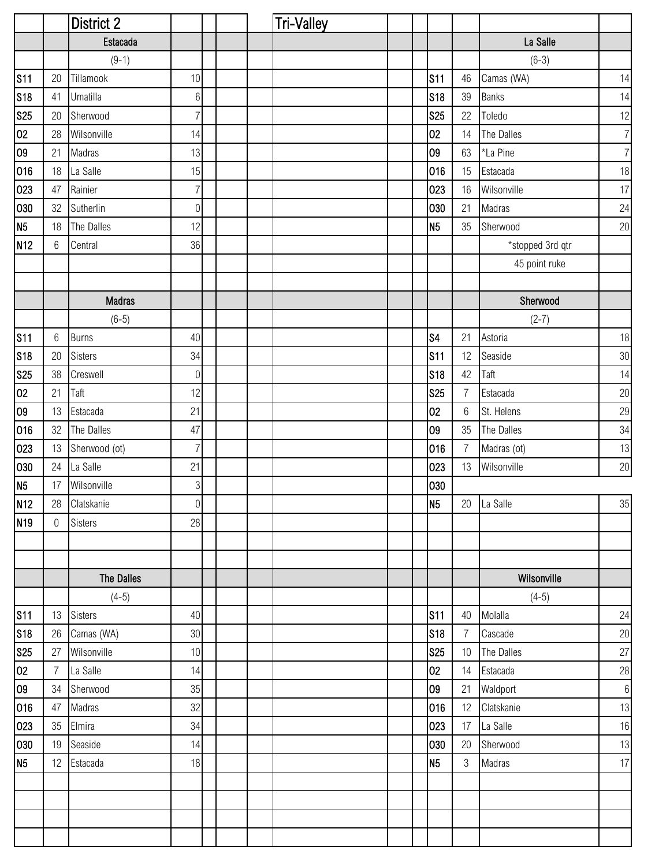|                 |                | <b>District 2</b> |                |  | Tri-Val <u>ley</u> |  |                 |                |                  |                |
|-----------------|----------------|-------------------|----------------|--|--------------------|--|-----------------|----------------|------------------|----------------|
|                 |                | Estacada          |                |  |                    |  |                 |                | La Salle         |                |
|                 |                | $(9-1)$           |                |  |                    |  |                 |                | $(6-3)$          |                |
| <b>S11</b>      | 20             | Tillamook         | 10             |  |                    |  | <b>S11</b>      | 46             | Camas (WA)       | 14             |
| <b>S18</b>      | 41             | <b>Umatilla</b>   | $6\,$          |  |                    |  | <b>S18</b>      | 39             | <b>Banks</b>     | 14             |
| <b>S25</b>      | 20             | Sherwood          | $\overline{7}$ |  |                    |  | <b>S25</b>      | 22             | Toledo           | 12             |
| 02              | 28             | Wilsonville       | 14             |  |                    |  | 02              | 14             | The Dalles       | $\overline{7}$ |
| 09              | 21             | Madras            | 13             |  |                    |  | 09              | 63             | *La Pine         | $\overline{7}$ |
| 016             | 18             | La Salle          | 15             |  |                    |  | 016             | 15             | Estacada         | 18             |
| 023             | 47             | Rainier           | $\overline{7}$ |  |                    |  | 023             | 16             | Wilsonville      | 17             |
| 030             | 32             | Sutherlin         | $\overline{0}$ |  |                    |  | 030             | 21             | Madras           | 24             |
| N <sub>5</sub>  | 18             | The Dalles        | 12             |  |                    |  | N <sub>5</sub>  | 35             | Sherwood         | $20\,$         |
| N <sub>12</sub> | 6              | Central           | 36             |  |                    |  |                 |                | *stopped 3rd qtr |                |
|                 |                |                   |                |  |                    |  |                 |                | 45 point ruke    |                |
|                 |                |                   |                |  |                    |  |                 |                |                  |                |
|                 |                | <b>Madras</b>     |                |  |                    |  |                 |                | Sherwood         |                |
|                 |                | $(6-5)$           |                |  |                    |  |                 |                | $(2-7)$          |                |
| <b>S11</b>      | 6              | <b>Burns</b>      | 40             |  |                    |  | S <sub>4</sub>  | 21             | Astoria          | 18             |
| <b>S18</b>      | 20             | <b>Sisters</b>    | 34             |  |                    |  | S <sub>11</sub> | 12             | Seaside          | $30\,$         |
| <b>S25</b>      | 38             | Creswell          | $\overline{0}$ |  |                    |  | <b>S18</b>      | 42             | Taft             | 14             |
| 02              | 21             | Taft              | 12             |  |                    |  | <b>S25</b>      | $\overline{7}$ | Estacada         | $20\,$         |
| 09              | 13             | Estacada          | 21             |  |                    |  | 02              | $6\,$          | St. Helens       | $29\,$         |
| 016             | 32             | The Dalles        | 47             |  |                    |  | 09              | 35             | The Dalles       | $34\,$         |
| 023             | 13             | Sherwood (ot)     | $\overline{7}$ |  |                    |  | 016             | $\overline{7}$ | Madras (ot)      | 13             |
| 030             | 24             | La Salle          | 21             |  |                    |  | 023             | 13             | Wilsonville      | $20\,$         |
| N <sub>5</sub>  | 17             | Wilsonville       | $\mathbf{3}$   |  |                    |  | 030             |                |                  |                |
| N <sub>12</sub> | 28             | Clatskanie        | $\overline{0}$ |  |                    |  | IN5             |                | 20 La Salle      | 35             |
| N <sub>19</sub> | $\mathbf 0$    | <b>Sisters</b>    | 28             |  |                    |  |                 |                |                  |                |
|                 |                |                   |                |  |                    |  |                 |                |                  |                |
|                 |                |                   |                |  |                    |  |                 |                |                  |                |
|                 |                | <b>The Dalles</b> |                |  |                    |  |                 |                | Wilsonville      |                |
|                 |                | $(4-5)$           |                |  |                    |  |                 |                | $(4-5)$          |                |
| <b>S11</b>      | 13             | <b>Sisters</b>    | 40             |  |                    |  | <b>S11</b>      | 40             | Molalla          | 24             |
| <b>S18</b>      | 26             | Camas (WA)        | 30             |  |                    |  | <b>S18</b>      | $\overline{7}$ | Cascade          | 20             |
| <b>S25</b>      | 27             | Wilsonville       | 10             |  |                    |  | <b>S25</b>      | 10             | The Dalles       | 27             |
| 02              | $\overline{7}$ | La Salle          | 14             |  |                    |  | 02              | 14             | Estacada         | 28             |
| 09              | 34             | Sherwood          | 35             |  |                    |  | 09              | 21             | Waldport         | $6\,$          |
| 016             | 47             | Madras            | 32             |  |                    |  | 016             | 12             | Clatskanie       | 13             |
| 023             | 35             | Elmira            | 34             |  |                    |  | 023             | 17             | La Salle         | 16             |
| 030             | 19             | Seaside           | 14             |  |                    |  | 030             | 20             | Sherwood         | 13             |
| N <sub>5</sub>  | 12             | Estacada          | 18             |  |                    |  | N <sub>5</sub>  | $\mathfrak{Z}$ | Madras           | 17             |
|                 |                |                   |                |  |                    |  |                 |                |                  |                |
|                 |                |                   |                |  |                    |  |                 |                |                  |                |
|                 |                |                   |                |  |                    |  |                 |                |                  |                |
|                 |                |                   |                |  |                    |  |                 |                |                  |                |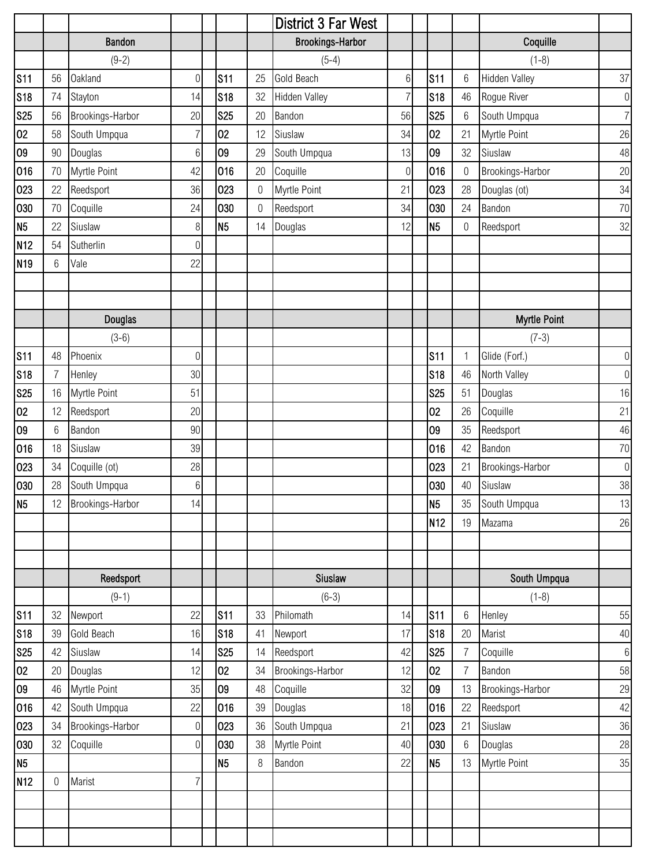|                 |             |                     |                |                |    | District 3 Far West     |                  |                |                 |                  |                     |                  |
|-----------------|-------------|---------------------|----------------|----------------|----|-------------------------|------------------|----------------|-----------------|------------------|---------------------|------------------|
|                 |             | Bandon              |                |                |    | <b>Brookings-Harbor</b> |                  |                |                 |                  | Coquille            |                  |
|                 |             | $(9-2)$             |                |                |    | $(5-4)$                 |                  |                |                 |                  | $(1-8)$             |                  |
| <b>S11</b>      | 56          | <b>Oakland</b>      | $\mathbf 0$    | <b>S11</b>     | 25 | Gold Beach              | $6\,$            |                | <b>S11</b>      | $6\,$            | Hidden Valley       | 37               |
| <b>S18</b>      | 74          | Stayton             | 14             | <b>S18</b>     | 32 | <b>Hidden Valley</b>    | $\overline{7}$   |                | <b>S18</b>      | 46               | Rogue River         | $\boldsymbol{0}$ |
| <b>S25</b>      | 56          | Brookings-Harbor    | 20             | <b>S25</b>     | 20 | Bandon                  | 56               |                | <b>S25</b>      | $6\phantom{.}6$  | South Umpqua        | $\overline{7}$   |
| 02              | 58          | South Umpqua        |                | 02             | 12 | Siuslaw                 | 34               | 02             |                 | 21               | Myrtle Point        | 26               |
| 09              | 90          | Douglas             | 6              | 09             | 29 | South Umpqua            | 13               | 09             |                 | 32               | Siuslaw             | 48               |
| 016             | 70          | Myrtle Point        | 42             | 016            | 20 | Coquille                | $\boldsymbol{0}$ |                | 016             | $\boldsymbol{0}$ | Brookings-Harbor    | 20               |
| 023             | 22          | Reedsport           | 36             | 023            | 0  | Myrtle Point            | 21               |                | 023             | 28               | Douglas (ot)        | 34               |
| 030             | 70          | Coquille            | 24             | 030            | 0  | Reedsport               | 34               |                | 030             | 24               | Bandon              | 70               |
| N <sub>5</sub>  | 22          | Siuslaw             | 8              | N <sub>5</sub> | 14 | Douglas                 | 12               | N <sub>5</sub> |                 | $\boldsymbol{0}$ | Reedsport           | 32               |
| N <sub>12</sub> | 54          | Sutherlin           | $\Omega$       |                |    |                         |                  |                |                 |                  |                     |                  |
| N <sub>19</sub> | 6           | Vale                | 22             |                |    |                         |                  |                |                 |                  |                     |                  |
|                 |             |                     |                |                |    |                         |                  |                |                 |                  |                     |                  |
|                 |             |                     |                |                |    |                         |                  |                |                 |                  |                     |                  |
|                 |             | <b>Douglas</b>      |                |                |    |                         |                  |                |                 |                  | <b>Myrtle Point</b> |                  |
|                 |             | $(3-6)$             |                |                |    |                         |                  |                |                 |                  | $(7-3)$             |                  |
| <b>S11</b>      | 48          | Phoenix             | $\mathbf 0$    |                |    |                         |                  |                | S <sub>11</sub> | $\mathbf 1$      | Glide (Forf.)       | $\overline{0}$   |
| <b>S18</b>      | 7           | Henley              | 30             |                |    |                         |                  |                | <b>S18</b>      | 46               | North Valley        | $\boldsymbol{0}$ |
| <b>S25</b>      | 16          | Myrtle Point        | 51             |                |    |                         |                  |                | <b>S25</b>      | 51               | Douglas             | 16               |
| 02              | 12          | Reedsport           | 20             |                |    |                         |                  | 02             |                 | 26               | Coquille            | 21               |
| 09              | 6           | Bandon              | 90             |                |    |                         |                  | 09             |                 | 35               | Reedsport           | 46               |
| 016             | 18          | Siuslaw             | 39             |                |    |                         |                  |                | 016             | 42               | Bandon              | 70               |
| 023             | 34          | Coquille (ot)       | 28             |                |    |                         |                  |                | 023             | 21               | Brookings-Harbor    | $\boldsymbol{0}$ |
| 030             | 28          | South Umpqua        | $6\,$          |                |    |                         |                  |                | 030             | 40               | Siuslaw             | 38               |
| N <sub>5</sub>  |             | 12 Brookings-Harbor | 14             |                |    |                         |                  | N <sub>5</sub> |                 | $35\,$           | South Umpqua        | 13               |
|                 |             |                     |                |                |    |                         |                  |                | N <sub>12</sub> | 19               | Mazama              | 26               |
|                 |             |                     |                |                |    |                         |                  |                |                 |                  |                     |                  |
|                 |             |                     |                |                |    |                         |                  |                |                 |                  |                     |                  |
|                 |             | Reedsport           |                |                |    | Siuslaw                 |                  |                |                 |                  | South Umpqua        |                  |
|                 |             | $(9-1)$             |                |                |    | $(6-3)$                 |                  |                |                 |                  | $(1-8)$             |                  |
| <b>S11</b>      | 32          | Newport             | 22             | <b>S11</b>     | 33 | Philomath               | 14               |                | <b>S11</b>      | 6                | Henley              | 55               |
| <b>S18</b>      | 39          | Gold Beach          | 16             | <b>S18</b>     | 41 | Newport                 | 17               |                | <b>S18</b>      | 20               | Marist              | 40               |
| <b>S25</b>      | 42          | Siuslaw             | 14             | <b>S25</b>     | 14 | Reedsport               | 42               |                | <b>S25</b>      | $\overline{7}$   | Coquille            | $6 \mid$         |
| 02              | 20          | Douglas             | 12             | 02             | 34 | Brookings-Harbor        | 12               | 02             |                 | $\overline{7}$   | Bandon              | 58               |
| 09              | 46          | Myrtle Point        | 35             | 09             | 48 | Coquille                | 32               | 09             |                 | 13               | Brookings-Harbor    | 29               |
| 016             | 42          | South Umpqua        | 22             | 016            | 39 | Douglas                 | 18               |                | 016             | 22               | Reedsport           | 42               |
| 023             | 34          | Brookings-Harbor    | $\overline{0}$ | 023            | 36 | South Umpqua            | 21               |                | 023             | 21               | Siuslaw             | 36               |
| 030             | 32          | Coquille            | $\overline{0}$ | 030            | 38 | Myrtle Point            | 40               |                | 030             | 6                | Douglas             | 28               |
| N <sub>5</sub>  |             |                     |                | N <sub>5</sub> | 8  | Bandon                  | 22               | N <sub>5</sub> |                 | 13               | Myrtle Point        | 35               |
| N <sub>12</sub> | $\mathbf 0$ | Marist              |                |                |    |                         |                  |                |                 |                  |                     |                  |
|                 |             |                     |                |                |    |                         |                  |                |                 |                  |                     |                  |
|                 |             |                     |                |                |    |                         |                  |                |                 |                  |                     |                  |
|                 |             |                     |                |                |    |                         |                  |                |                 |                  |                     |                  |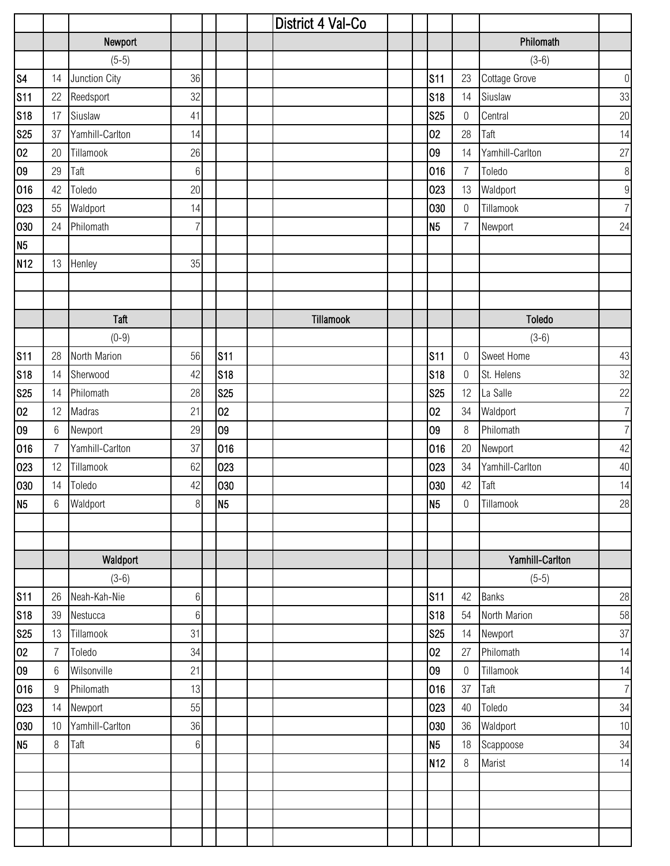|                 |                 |                 |                |                | District 4 Val-Co |                 |                  |                 |                  |
|-----------------|-----------------|-----------------|----------------|----------------|-------------------|-----------------|------------------|-----------------|------------------|
|                 |                 | Newport         |                |                |                   |                 |                  | Philomath       |                  |
|                 |                 | $(5-5)$         |                |                |                   |                 |                  | $(3-6)$         |                  |
| S <sub>4</sub>  | 14              | Junction City   | 36             |                |                   | S <sub>11</sub> | 23               | Cottage Grove   | $\boldsymbol{0}$ |
| S <sub>11</sub> | 22              | Reedsport       | 32             |                |                   | <b>S18</b>      | 14               | Siuslaw         | 33               |
| <b>S18</b>      | 17              | Siuslaw         | 41             |                |                   | <b>S25</b>      | $\mathbf 0$      | Central         | 20               |
| <b>S25</b>      | 37              | Yamhill-Carlton | 14             |                |                   | 02              | 28               | Taft            | 14               |
| 02              | 20              | Tillamook       | 26             |                |                   | 09              | 14               | Yamhill-Carlton | 27               |
| 09              | 29              | Taft            | $6\,$          |                |                   | 016             | $\overline{7}$   | Toledo          | $\, 8$           |
| 016             | 42              | Toledo          | 20             |                |                   | 023             | 13               | Waldport        | $\boldsymbol{9}$ |
| 023             | 55              | Waldport        | 14             |                |                   | 030             | $\mathbf 0$      | Tillamook       | $\overline{7}$   |
| 030             | 24              | Philomath       | $\overline{7}$ |                |                   | N <sub>5</sub>  | $\overline{7}$   | Newport         | 24               |
| N <sub>5</sub>  |                 |                 |                |                |                   |                 |                  |                 |                  |
| N <sub>12</sub> | 13              | Henley          | 35             |                |                   |                 |                  |                 |                  |
|                 |                 |                 |                |                |                   |                 |                  |                 |                  |
|                 |                 |                 |                |                |                   |                 |                  |                 |                  |
|                 |                 | <b>Taft</b>     |                |                | Tillamook         |                 |                  | Toledo          |                  |
|                 |                 | $(0-9)$         |                |                |                   |                 |                  | $(3-6)$         |                  |
| <b>S11</b>      | 28              | North Marion    | 56             | <b>S11</b>     |                   | S <sub>11</sub> | $\boldsymbol{0}$ | Sweet Home      | 43               |
| <b>S18</b>      | 14              | Sherwood        | 42             | <b>S18</b>     |                   | <b>S18</b>      | $\boldsymbol{0}$ | St. Helens      | 32               |
| <b>S25</b>      | 14              | Philomath       | 28             | <b>S25</b>     |                   | <b>S25</b>      | 12               | La Salle        | 22               |
| 02              | 12              | Madras          | 21             | 02             |                   | 02              | 34               | Waldport        | $\overline{7}$   |
| 09              | 6               | Newport         | 29             | 09             |                   | 09              | 8                | Philomath       | $\overline{7}$   |
| 016             | $\overline{7}$  | Yamhill-Carlton | 37             | 016            |                   | 016             | 20               | Newport         | 42               |
| 023             | 12              | Tillamook       | 62             | 023            |                   | 023             | 34               | Yamhill-Carlton | 40               |
| 030             | 14              | Toledo          | 42             | 030            |                   | 030             | 42               | Taft            | 14               |
| N <sub>5</sub>  | 6               | Waldport        | 8 <sup>1</sup> | N <sub>5</sub> |                   | IN5             | $\overline{0}$   | Tillamook       | 28               |
|                 |                 |                 |                |                |                   |                 |                  |                 |                  |
|                 |                 |                 |                |                |                   |                 |                  |                 |                  |
|                 |                 | Waldport        |                |                |                   |                 |                  | Yamhill-Carlton |                  |
|                 |                 | $(3-6)$         |                |                |                   |                 |                  | $(5-5)$         |                  |
| <b>S11</b>      | 26              | Neah-Kah-Nie    | $6\,$          |                |                   | S <sub>11</sub> | 42               | <b>Banks</b>    | 28               |
| <b>S18</b>      | 39              | Nestucca        | $6\,$          |                |                   | <b>S18</b>      | 54               | North Marion    | 58               |
| <b>S25</b>      | 13              | Tillamook       | 31             |                |                   | <b>S25</b>      | 14               | Newport         | 37               |
| 02              | $\overline{7}$  | Toledo          | 34             |                |                   | 02              | 27               | Philomath       | 14               |
| 09              | 6               | Wilsonville     | 21             |                |                   | 09              | $\boldsymbol{0}$ | Tillamook       | 14               |
| 016             | $9\phantom{.0}$ | Philomath       | 13             |                |                   | 016             | 37               | Taft            | $\overline{7}$   |
| 023             | 14              | Newport         | 55             |                |                   | 023             | 40               | Toledo          | 34               |
| 030             | 10              | Yamhill-Carlton | 36             |                |                   | 030             | 36               | Waldport        | 10               |
| N <sub>5</sub>  | 8               | Taft            | $6\,$          |                |                   | N <sub>5</sub>  | 18               | Scappoose       | 34               |
|                 |                 |                 |                |                |                   | N <sub>12</sub> | $\,8\,$          | Marist          | 14               |
|                 |                 |                 |                |                |                   |                 |                  |                 |                  |
|                 |                 |                 |                |                |                   |                 |                  |                 |                  |
|                 |                 |                 |                |                |                   |                 |                  |                 |                  |
|                 |                 |                 |                |                |                   |                 |                  |                 |                  |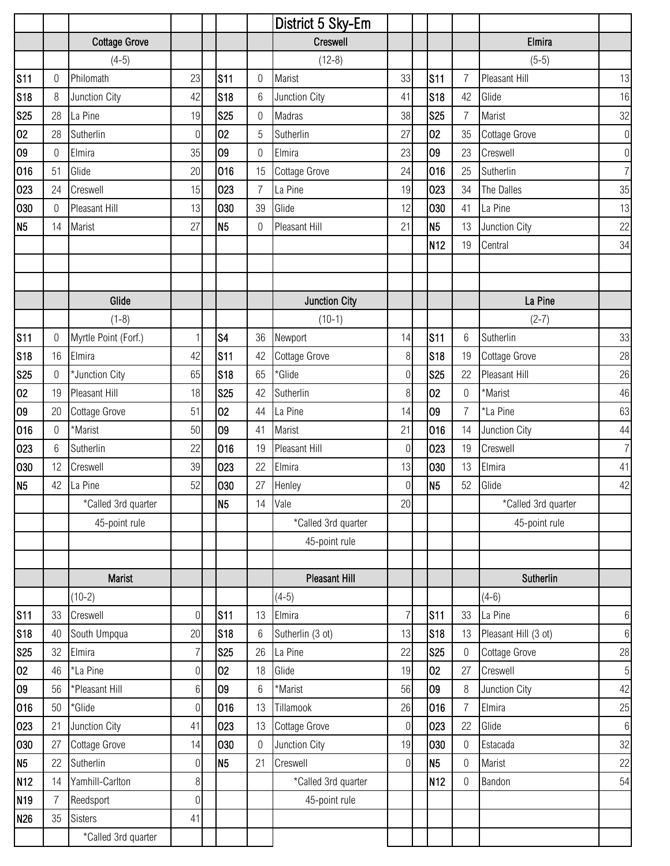|                 |                  |                      |                  |                |                | District 5 Sky-Em    |                |                 |                  |                      |                  |
|-----------------|------------------|----------------------|------------------|----------------|----------------|----------------------|----------------|-----------------|------------------|----------------------|------------------|
|                 |                  | <b>Cottage Grove</b> |                  |                |                | Creswell             |                |                 |                  | Elmira               |                  |
|                 |                  | $(4-5)$              |                  |                |                | $(12-8)$             |                |                 |                  | $(5-5)$              |                  |
| <b>S11</b>      | $\boldsymbol{0}$ | Philomath            | 23               | <b>S11</b>     | $\mathbf 0$    | Marist               | 33             | <b>S11</b>      | $\overline{7}$   | Pleasant Hill        | 13               |
| <b>S18</b>      | 8                | Junction City        | 42               | <b>S18</b>     | 6              | Junction City        | 41             | <b>S18</b>      | 42               | Glide                | 16               |
| <b>S25</b>      | 28               | La Pine              | 19               | <b>S25</b>     | $\theta$       | Madras               | 38             | <b>S25</b>      | $\overline{7}$   | Marist               | 32               |
| 02              | 28               | Sutherlin            | $\mathbf 0$      | 02             | $\overline{5}$ | Sutherlin            | 27             | 02              | 35               | Cottage Grove        | $\overline{0}$   |
| 09              | 0                | Elmira               | 35               | 09             | $\theta$       | Elmira               | 23             | 09              | 23               | Creswell             | $\overline{0}$   |
| 016             | 51               | Glide                | 20               | 016            | 15             | Cottage Grove        | 24             | 016             | 25               | Sutherlin            | 7 <sup>1</sup>   |
| 023             | 24               | Creswell             | 15               | 023            | $\overline{7}$ | La Pine              | 19             | 023             | 34               | The Dalles           | 35               |
| 030             | 0                | Pleasant Hill        | 13               | 030            | 39             | Glide                | 12             | 030             | 41               | La Pine              | 13               |
| N <sub>5</sub>  | 14               | Marist               | 27               | N <sub>5</sub> | 0              | Pleasant Hill        | 21             | N <sub>5</sub>  | 13               | Junction City        | 22               |
|                 |                  |                      |                  |                |                |                      |                | N <sub>12</sub> | 19               | Central              | 34               |
|                 |                  |                      |                  |                |                |                      |                |                 |                  |                      |                  |
|                 |                  |                      |                  |                |                |                      |                |                 |                  |                      |                  |
|                 |                  | Glide                |                  |                |                | <b>Junction City</b> |                |                 |                  | La Pine              |                  |
|                 |                  | $(1-8)$              |                  |                |                | $(10-1)$             |                |                 |                  | $(2-7)$              |                  |
| <b>S11</b>      | $\boldsymbol{0}$ | Myrtle Point (Forf.) |                  | S <sub>4</sub> | 36             | Newport              | 14             | <b>S11</b>      | $6\,$            | Sutherlin            | 33               |
| <b>S18</b>      | 16               | Elmira               | 42               | <b>S11</b>     | 42             | Cottage Grove        | 8              | <b>S18</b>      | 19               | Cottage Grove        | 28               |
| <b>S25</b>      | 0                | *Junction City       | 65               | <b>S18</b>     | 65             | *Glide               | $\overline{0}$ | <b>S25</b>      | 22               | Pleasant Hill        | 26               |
| 02              | 19               | Pleasant Hill        | 18               | <b>S25</b>     | 42             | Sutherlin            | 8              | 02              | $\boldsymbol{0}$ | *Marist              | 46               |
| 09              | 20               | Cottage Grove        | 51               | 02             | 44             | La Pine              | 14             | 09              | $\overline{7}$   | *La Pine             | 63               |
| 016             | $\mathbf 0$      | *Marist              | 50               | 09             | 41             | Marist               | 21             | 016             | 14               | Junction City        | 44               |
| 023             | 6                | Sutherlin            | 22               | 016            | 19             | Pleasant Hill        | 0              | 023             | 19               | Creswell             | 7 <sup>1</sup>   |
| 030             | 12               | Creswell             | 39               | 023            | 22             | Elmira               | 13             | 030             | 13               | Elmira               | 41               |
| N <sub>5</sub>  | 42               | La Pine              | 52               | 030            | 27             | Henley               | $\overline{0}$ | N <sub>5</sub>  | 52               | Glide                | 42               |
|                 |                  | *Called 3rd quarter  |                  | N <sub>5</sub> | 14             | Vale                 | 20             |                 |                  | *Called 3rd quarter  |                  |
|                 |                  | 45-point rule        |                  |                |                | *Called 3rd quarter  |                |                 |                  | 45-point rule        |                  |
|                 |                  |                      |                  |                |                | 45-point rule        |                |                 |                  |                      |                  |
|                 |                  |                      |                  |                |                |                      |                |                 |                  |                      |                  |
|                 |                  | Marist               |                  |                |                | <b>Pleasant Hill</b> |                |                 |                  | Sutherlin            |                  |
|                 |                  | $(10-2)$             |                  |                |                | $(4-5)$              |                |                 |                  | $(4-6)$              |                  |
| <b>S11</b>      | 33               | Creswell             | $\overline{0}$   | <b>S11</b>     | 13             | Elmira               | 7              | S <sub>11</sub> | 33               | La Pine              | $6 \overline{6}$ |
| <b>S18</b>      | 40               | South Umpqua         | 20               | <b>S18</b>     | 6              | Sutherlin (3 ot)     | 13             | <b>S18</b>      | 13               | Pleasant Hill (3 ot) | $6 \,$           |
| <b>S25</b>      | 32               | Elmira               | $\overline{7}$   | <b>S25</b>     | 26             | La Pine              | 22             | <b>S25</b>      | 0                | Cottage Grove        | 28               |
| 02              | 46               | *La Pine             | $\mathbf 0$      | 02             | 18             | Glide                | 19             | 02              | 27               | Creswell             | $\overline{5}$   |
| 09              | 56               | *Pleasant Hill       | 6 <sup>1</sup>   | 09             | $6\,$          | *Marist              | 56             | 09              | 8                | Junction City        | 42               |
| 016             | 50               | *Glide               | $\overline{0}$   | 016            | 13             | Tillamook            | 26             | 016             | $\overline{7}$   | Elmira               | 25               |
| 023             | 21               | Junction City        | 41               | 023            | 13             | Cottage Grove        | $\overline{0}$ | 023             | 22               | Glide                | $6 \,$           |
| 030             | 27               | Cottage Grove        | 14               | 030            | $\overline{0}$ | Junction City        | 19             | 030             | 0                | Estacada             | 32               |
| N <sub>5</sub>  | 22               | Sutherlin            | $\mathbf 0$      | <b>N5</b>      | 21             | Creswell             | $\overline{0}$ | N5              | $\mathbf 0$      | Marist               | 22               |
| N <sub>12</sub> | 14               | Yamhill-Carlton      | $\boldsymbol{8}$ |                |                | *Called 3rd quarter  |                | N <sub>12</sub> | $\overline{0}$   | Bandon               | 54               |
| N <sub>19</sub> | $\overline{7}$   | Reedsport            | $\overline{0}$   |                |                | 45-point rule        |                |                 |                  |                      |                  |
| N26             | 35               | <b>Sisters</b>       | 41               |                |                |                      |                |                 |                  |                      |                  |
|                 |                  | *Called 3rd quarter  |                  |                |                |                      |                |                 |                  |                      |                  |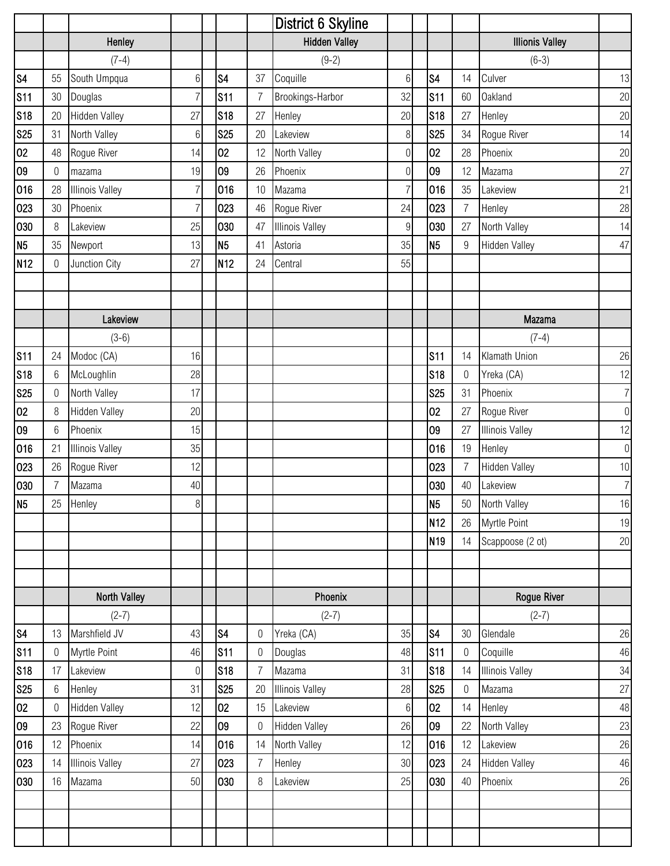|                 |                  |                        |                |                |                 |                | District 6 Skyline     |                |                 |                |                        |                |
|-----------------|------------------|------------------------|----------------|----------------|-----------------|----------------|------------------------|----------------|-----------------|----------------|------------------------|----------------|
|                 |                  | Henley                 |                |                |                 |                | <b>Hidden Valley</b>   |                |                 |                | <b>Illionis Valley</b> |                |
|                 |                  | $(7-4)$                |                |                |                 |                | $(9-2)$                |                |                 |                | $(6-3)$                |                |
| S <sub>4</sub>  | 55               | South Umpqua           | $6\phantom{.}$ | S <sub>4</sub> |                 | 37             | Coquille               | $6\,$          | S <sub>4</sub>  | 14             | Culver                 | 13             |
| <b>S11</b>      | 30               | Douglas                |                | <b>S11</b>     |                 | $\overline{7}$ | Brookings-Harbor       | 32             | <b>S11</b>      | 60             | Oakland                | 20             |
| <b>S18</b>      | 20               | <b>Hidden Valley</b>   | 27             | <b>S18</b>     |                 | 27             | Henley                 | 20             | <b>S18</b>      | 27             | Henley                 | 20             |
| <b>S25</b>      | 31               | North Valley           | 6              | <b>S25</b>     |                 | 20             | Lakeview               | 8              | <b>S25</b>      | 34             | Rogue River            | 14             |
| 02              | 48               | Rogue River            | 14             | 02             |                 | 12             | North Valley           | 0              | 02              | 28             | Phoenix                | 20             |
| 09              | $\boldsymbol{0}$ | mazama                 | 19             | 09             |                 | 26             | Phoenix                | $\overline{0}$ | 09              | 12             | Mazama                 | 27             |
| 016             | 28               | <b>Illinois Valley</b> | $\overline{7}$ |                | 016             | 10             | Mazama                 | $\overline{7}$ | 016             | 35             | Lakeview               | 21             |
| 023             | 30               | Phoenix                | $\overline{7}$ |                | 023             | 46             | Rogue River            | 24             | 023             | $\overline{7}$ | Henley                 | 28             |
| 030             | 8                | Lakeview               | 25             |                | 030             | 47             | <b>Illinois Valley</b> | 9              | 030             | 27             | North Valley           | 14             |
| N <sub>5</sub>  | 35               | Newport                | 13             | N <sub>5</sub> |                 | 41             | Astoria                | 35             | N <sub>5</sub>  | 9              | <b>Hidden Valley</b>   | 47             |
| N <sub>12</sub> | $\mathbf 0$      | Junction City          | 27             |                | N <sub>12</sub> | 24             | Central                | 55             |                 |                |                        |                |
|                 |                  |                        |                |                |                 |                |                        |                |                 |                |                        |                |
|                 |                  |                        |                |                |                 |                |                        |                |                 |                |                        |                |
|                 |                  | Lakeview               |                |                |                 |                |                        |                |                 |                | Mazama                 |                |
|                 |                  | $(3-6)$                |                |                |                 |                |                        |                |                 |                | $(7-4)$                |                |
| <b>S11</b>      | 24               | Modoc (CA)             | 16             |                |                 |                |                        |                | S <sub>11</sub> | 14             | Klamath Union          | 26             |
| <b>S18</b>      | 6                | McLoughlin             | 28             |                |                 |                |                        |                | <b>S18</b>      | 0              | Yreka (CA)             | 12             |
| <b>S25</b>      | $\overline{0}$   | North Valley           | 17             |                |                 |                |                        |                | <b>S25</b>      | 31             | Phoenix                | $\overline{7}$ |
| 02              | 8                | Hidden Valley          | 20             |                |                 |                |                        |                | 02              | 27             | Rogue River            | $\overline{0}$ |
| 09              | 6                | Phoenix                | 15             |                |                 |                |                        |                | 09              | 27             | <b>Illinois Valley</b> | 12             |
| 016             | 21               | <b>Illinois Valley</b> | 35             |                |                 |                |                        |                | 016             | 19             | Henley                 | $\overline{0}$ |
| 023             | 26               | Rogue River            | 12             |                |                 |                |                        |                | 023             | $\overline{7}$ | <b>Hidden Valley</b>   | 10             |
| 030             | $\overline{7}$   | Mazama                 | 40             |                |                 |                |                        |                | 030             | 40             | Lakeview               | $\overline{7}$ |
| N <sub>5</sub>  | 25               | Henley                 | $\bf{8}$       |                |                 |                |                        |                | N <sub>5</sub>  | 50             | North Valley           | 16             |
|                 |                  |                        |                |                |                 |                |                        |                | N <sub>12</sub> | 26             | Myrtle Point           | 19             |
|                 |                  |                        |                |                |                 |                |                        |                | N <sub>19</sub> |                | 14 Scappoose (2 ot)    | 20             |
|                 |                  |                        |                |                |                 |                |                        |                |                 |                |                        |                |
|                 |                  |                        |                |                |                 |                |                        |                |                 |                |                        |                |
|                 |                  | <b>North Valley</b>    |                |                |                 |                | Phoenix                |                |                 |                | Rogue River            |                |
|                 |                  | $(2-7)$                |                |                |                 |                | $(2-7)$                |                |                 |                | $(2-7)$                |                |
| $\sqrt{34}$     | 13               | Marshfield JV          | 43             | S <sub>4</sub> |                 | 0              | Yreka (CA)             | 35             | S <sub>4</sub>  | 30             | Glendale               | 26             |
| <b>S11</b>      | 0                | Myrtle Point           | 46             | <b>S11</b>     |                 | $\mathbf 0$    | Douglas                | 48             | <b>S</b> 11     | 0              | Coquille               | 46             |
| <b>S18</b>      | 17               | Lakeview               | $\overline{0}$ | <b>S18</b>     |                 | 7              | Mazama                 | 31             | <b>S18</b>      | 14             | <b>Illinois Valley</b> | $34\,$         |
| <b>S25</b>      | 6                | Henley                 | 31             | <b>S25</b>     |                 | 20             | <b>Illinois Valley</b> | 28             | <b>S25</b>      | $\mathbf 0$    | Mazama                 | 27             |
| 02              | $\mathbf 0$      | <b>Hidden Valley</b>   | 12             | 02             |                 | 15             | Lakeview               | $6 \mid$       | 02              | 14             | Henley                 | 48             |
| 09              | 23               | Rogue River            | 22             | 09             |                 | $\mathbf 0$    | <b>Hidden Valley</b>   | 26             | 09              | 22             | North Valley           | 23             |
| 016             | 12               | Phoenix                | 14             |                | 016             | 14             | North Valley           | 12             | 016             | 12             | Lakeview               | 26             |
| 023             | 14               | <b>Illinois Valley</b> | 27             |                | 023             | $\overline{7}$ | Henley                 | 30             | 023             | 24             | <b>Hidden Valley</b>   | 46             |
| 030             | 16               | Mazama                 | 50             |                | 030             | 8              | Lakeview               | 25             | 030             | 40             | Phoenix                | $26\,$         |
|                 |                  |                        |                |                |                 |                |                        |                |                 |                |                        |                |
|                 |                  |                        |                |                |                 |                |                        |                |                 |                |                        |                |
|                 |                  |                        |                |                |                 |                |                        |                |                 |                |                        |                |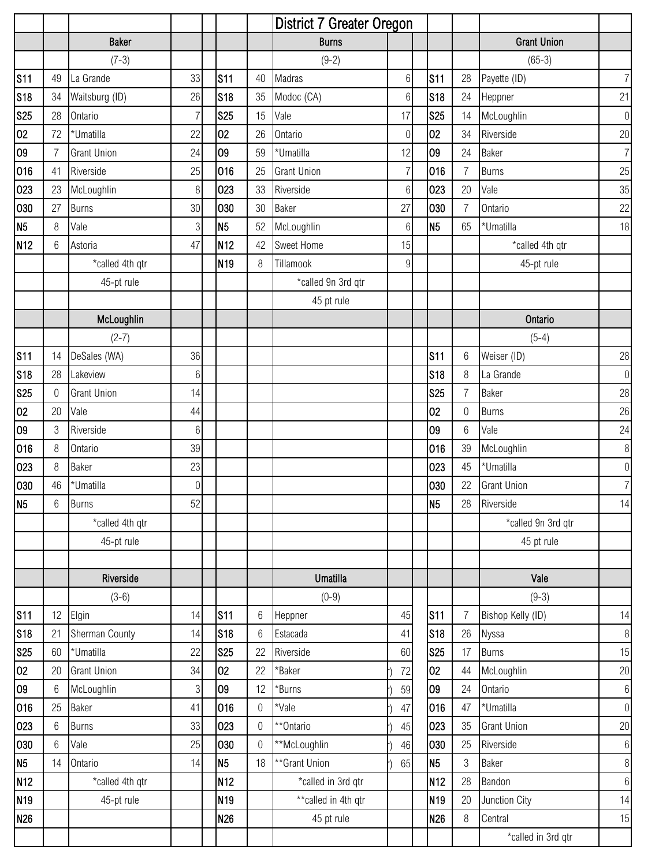|                 |                |                    |                |                 |                  | <b>District 7 Greater Oregon</b> |                  |                 |                |                    |                |
|-----------------|----------------|--------------------|----------------|-----------------|------------------|----------------------------------|------------------|-----------------|----------------|--------------------|----------------|
|                 |                | <b>Baker</b>       |                |                 |                  | <b>Burns</b>                     |                  |                 |                | <b>Grant Union</b> |                |
|                 |                | $(7-3)$            |                |                 |                  | $(9-2)$                          |                  |                 |                | $(65-3)$           |                |
| <b>S11</b>      | 49             | La Grande          | 33             | $\mathsf{S}11$  | 40               | Madras                           | $6\,$            | <b>S11</b>      | 28             | Payette (ID)       | 7 <sup>1</sup> |
| <b>S18</b>      | 34             | Waitsburg (ID)     | 26             | <b>S18</b>      | 35               | Modoc (CA)                       | 6                | <b>S18</b>      | 24             | Heppner            | 21             |
| <b>S25</b>      | 28             | Ontario            | 7              | <b>S25</b>      | 15               | Vale                             | 17               | <b>S25</b>      | 14             | McLoughlin         | $\overline{0}$ |
| 02              | 72             | *Umatilla          | 22             | 02              | 26               | Ontario                          | $\mathbf 0$      | 02              | 34             | Riverside          | 20             |
| 09              | 7              | <b>Grant Union</b> | 24             | 09              | 59               | *Umatilla                        | 12               | 09              | 24             | <b>Baker</b>       | $\overline{7}$ |
| 016             | 41             | Riverside          | 25             | 016             | 25               | <b>Grant Union</b>               | 7                | 016             | $\overline{7}$ | <b>Burns</b>       | 25             |
| 023             | 23             | McLoughlin         | $8\,$          | 023             | 33               | Riverside                        | 6                | 023             | 20             | Vale               | 35             |
| 030             | 27             | <b>Burns</b>       | 30             | 030             | 30               | <b>Baker</b>                     | 27               | 030             | $\overline{7}$ | Ontario            | 22             |
| N <sub>5</sub>  | 8              | Vale               | 3              | N <sub>5</sub>  | 52               | McLoughlin                       | 6                | N <sub>5</sub>  | 65             | *Umatilla          | 18             |
| N <sub>12</sub> | 6              | Astoria            | 47             | N <sub>12</sub> | 42               | Sweet Home                       | 15               |                 |                | *called 4th qtr    |                |
|                 |                | *called 4th qtr    |                | N <sub>19</sub> | 8                | Tillamook                        | $\boldsymbol{9}$ |                 |                | 45-pt rule         |                |
|                 |                | 45-pt rule         |                |                 |                  | *called 9n 3rd qtr               |                  |                 |                |                    |                |
|                 |                |                    |                |                 |                  | 45 pt rule                       |                  |                 |                |                    |                |
|                 |                | McLoughlin         |                |                 |                  |                                  |                  |                 |                | Ontario            |                |
|                 |                | $(2-7)$            |                |                 |                  |                                  |                  |                 |                | $(5-4)$            |                |
| <b>S11</b>      | 14             | DeSales (WA)       | 36             |                 |                  |                                  |                  | S <sub>11</sub> | $6\,$          | Weiser (ID)        | 28             |
| <b>S18</b>      | 28             | Lakeview           | $6\phantom{.}$ |                 |                  |                                  |                  | <b>S18</b>      | 8              | La Grande          | $\overline{0}$ |
| <b>S25</b>      | $\mathbf 0$    | <b>Grant Union</b> | 14             |                 |                  |                                  |                  | <b>S25</b>      | $\overline{7}$ | Baker              | 28             |
| 02              | 20             | Vale               | 44             |                 |                  |                                  |                  | 02              | $\mathbf 0$    | <b>Burns</b>       | 26             |
| 09              | 3              | Riverside          | 6              |                 |                  |                                  |                  | 09              | $6\,$          | Vale               | 24             |
| 016             | 8              | Ontario            | 39             |                 |                  |                                  |                  | 016             | 39             | McLoughlin         | $8\,$          |
| 023             | 8              | <b>Baker</b>       | 23             |                 |                  |                                  |                  | 023             | 45             | *Umatilla          | $\overline{0}$ |
| 030             | 46             | *Umatilla          | $\theta$       |                 |                  |                                  |                  | 030             | 22             | <b>Grant Union</b> | $\overline{7}$ |
| N <sub>5</sub>  | 6              | <b>Burns</b>       | 52             |                 |                  |                                  |                  | N <sub>5</sub>  | 28             | Riverside          | 14             |
|                 |                | *called 4th qtr    |                |                 |                  |                                  |                  |                 |                | *called 9n 3rd qtr |                |
|                 |                | 45-pt rule         |                |                 |                  |                                  |                  |                 |                | 45 pt rule         |                |
|                 |                |                    |                |                 |                  |                                  |                  |                 |                |                    |                |
|                 |                | Riverside          |                |                 |                  | <b>Umatilla</b>                  |                  |                 |                | Vale               |                |
|                 |                | $(3-6)$            |                |                 |                  | $(0-9)$                          |                  |                 |                | $(9-3)$            |                |
| <b>S11</b>      | 12             | Elgin              | 14             | <b>S11</b>      | 6                | Heppner                          | 45               | <b>S11</b>      | $\overline{7}$ | Bishop Kelly (ID)  | 14             |
| <b>S18</b>      | 21             | Sherman County     | 14             | <b>S18</b>      | $6\phantom{.}6$  | Estacada                         | 41               | <b>S18</b>      | 26             | Nyssa              | $\,8\,$        |
| <b>S25</b>      | 60             | *Umatilla          | 22             | <b>S25</b>      | 22               | Riverside                        | 60               | <b>S25</b>      | 17             | <b>Burns</b>       | 15             |
| 02              | 20             | <b>Grant Union</b> | 34             | 02              | 22               | *Baker                           | 72               | 02              | 44             | McLoughlin         | 20             |
| 09              | $6\,$          | McLoughlin         | $\mathbf{3}$   | 09              | 12               | *Burns                           | 59               | 09              | 24             | Ontario            | $6\,$          |
| 016             | 25             | <b>Baker</b>       | 41             | 016             | $\boldsymbol{0}$ | *Vale                            | 47               | 016             | 47             | *Umatilla          | $\overline{0}$ |
| 023             | $6\phantom{.}$ | <b>Burns</b>       | 33             | 023             | 0                | **Ontario                        | 45               | 023             | 35             | <b>Grant Union</b> | 20             |
| 030             | 6              | Vale               | 25             | 030             | 0                | **McLoughlin                     | 46               | 030             | 25             | Riverside          | $6 \mid$       |
| N <sub>5</sub>  | 14             | Ontario            | 14             | N <sub>5</sub>  | 18               | **Grant Union                    | 65               | N <sub>5</sub>  | $\mathfrak{Z}$ | Baker              | 8 <sup>1</sup> |
| N <sub>12</sub> |                | *called 4th qtr    |                | N <sub>12</sub> |                  | *called in 3rd qtr               |                  | N <sub>12</sub> | 28             | Bandon             | 6              |
| N <sub>19</sub> |                | 45-pt rule         |                | N <sub>19</sub> |                  | ** called in 4th qtr             |                  | N <sub>19</sub> | 20             | Junction City      | 14             |
| N26             |                |                    |                | N <sub>26</sub> |                  | 45 pt rule                       |                  | N <sub>26</sub> | 8              | Central            | 15             |
|                 |                |                    |                |                 |                  |                                  |                  |                 |                | *called in 3rd qtr |                |